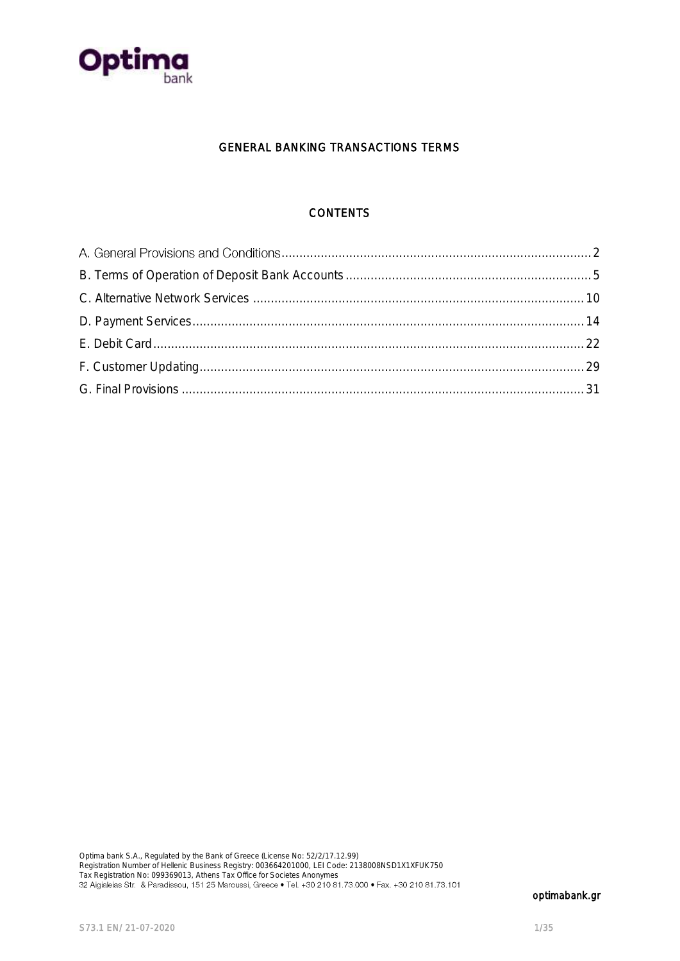

## GENERAL BANKING TRANSACTIONS TERMS

# **CONTENTS**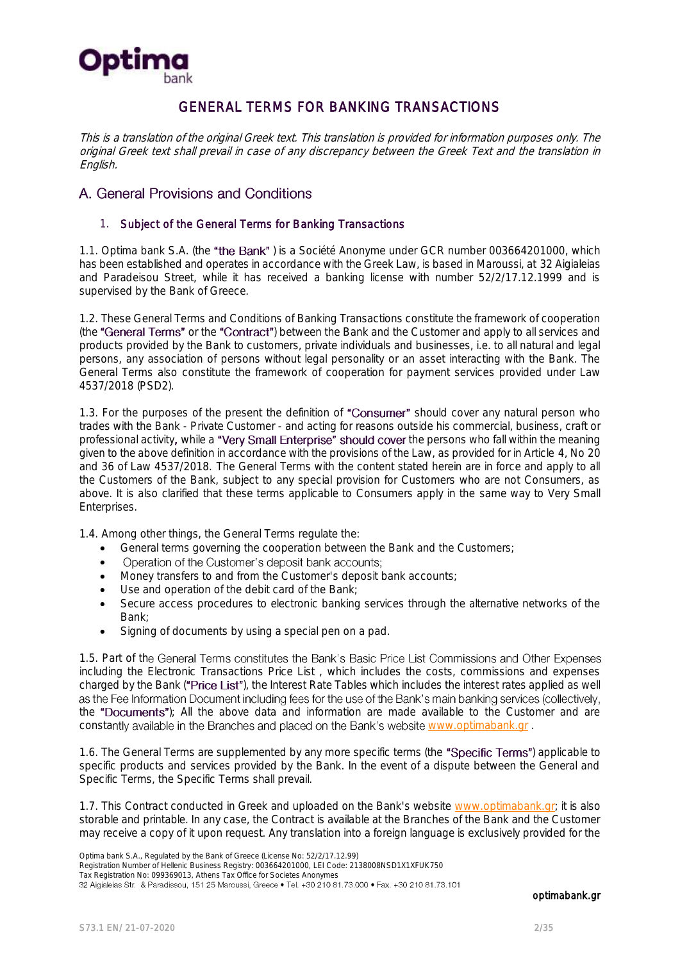

# GENERAL TERMS FOR BANKING TRANSACTIONS

This is a translation of the original Greek text. This translation is provided for information purposes only. The original Greek text shall prevail in case of any discrepancy between the Greek Text and the translation in English.

## <span id="page-1-0"></span>A. General Provisions and Conditions

#### 1. Subject of the General Terms for Banking Transactions

1.1. Optima bank S.A. (the "the Bank") is a Société Anonyme under GCR number 003664201000, which has been established and operates in accordance with the Greek Law, is based in Maroussi, at 32 Aigialeias and Paradeisou Street, while it has received a banking license with number 52/2/17.12.1999 and is supervised by the Bank of Greece.

1.2. These General Terms and Conditions of Banking Transactions constitute the framework of cooperation (the "General Terms" or the "Contract") between the Bank and the Customer and apply to all services and products provided by the Bank to customers, private individuals and businesses, i.e. to all natural and legal persons, any association of persons without legal personality or an asset interacting with the Bank. The General Terms also constitute the framework of cooperation for payment services provided under Law 4537/2018 (PSD2).

1.3. For the purposes of the present the definition of "Consumer" should cover any natural person who trades with the Bank - Private Customer - and acting for reasons outside his commercial, business, craft or professional activity, while a "Very Small Enterprise" should cover the persons who fall within the meaning given to the above definition in accordance with the provisions of the Law, as provided for in Article 4, No 20 and 36 of Law 4537/2018. The General Terms with the content stated herein are in force and apply to all the Customers of the Bank, subject to any special provision for Customers who are not Consumers, as above. It is also clarified that these terms applicable to Consumers apply in the same way to Very Small Enterprises.

1.4. Among other things, the General Terms regulate the:

- General terms governing the cooperation between the Bank and the Customers;
- Operation of the Customer's deposit bank accounts;  $\bullet$
- Money transfers to and from the Customer's deposit bank accounts;
- Use and operation of the debit card of the Bank;
- Secure access procedures to electronic banking services through the alternative networks of the Bank;
- Signing of documents by using a special pen on a pad.

1.5. Part of the General Terms constitutes the Bank's Basic Price List Commissions and Other Expenses including the Electronic Transactions Price List , which includes the costs, commissions and expenses charged by the Bank ("Price List"), the Interest Rate Tables which includes the interest rates applied as well as the Fee Information Document including fees for the use of the Bank's main banking services (collectively, the "Documents"); All the above data and information are made available to the Customer and are constantly available in the Branches and placed on the Bank's website [www.optimabank.gr](http://www.optimabank.gr/).

1.6. The General Terms are supplemented by any more specific terms (the "Specific Terms") applicable to specific products and services provided by the Bank. In the event of a dispute between the General and Specific Terms, the Specific Terms shall prevail.

1.7. This Contract conducted in Greek and uploaded on the Bank's website [www.optimabank.gr;](http://www.optimabank.gr/) it is also storable and printable. In any case, the Contract is available at the Branches of the Bank and the Customer may receive a copy of it upon request. Any translation into a foreign language is exclusively provided for the

Registration Number of Hellenic Business Registry: 003664201000, LEI Code: 2138008NSD1X1XFUK750

Tax Registration No: 099369013, Athens Tax Office for Societes Anonymes<br>32 Aigialeias Str. & Paradissou, 151 25 Maroussi, Greece • Tel. +30 210 81.73.000 • Fax. +30 210 81.73.101

Optima bank S.A., Regulated by the Bank of Greece (License No: 52/2/17.12.99)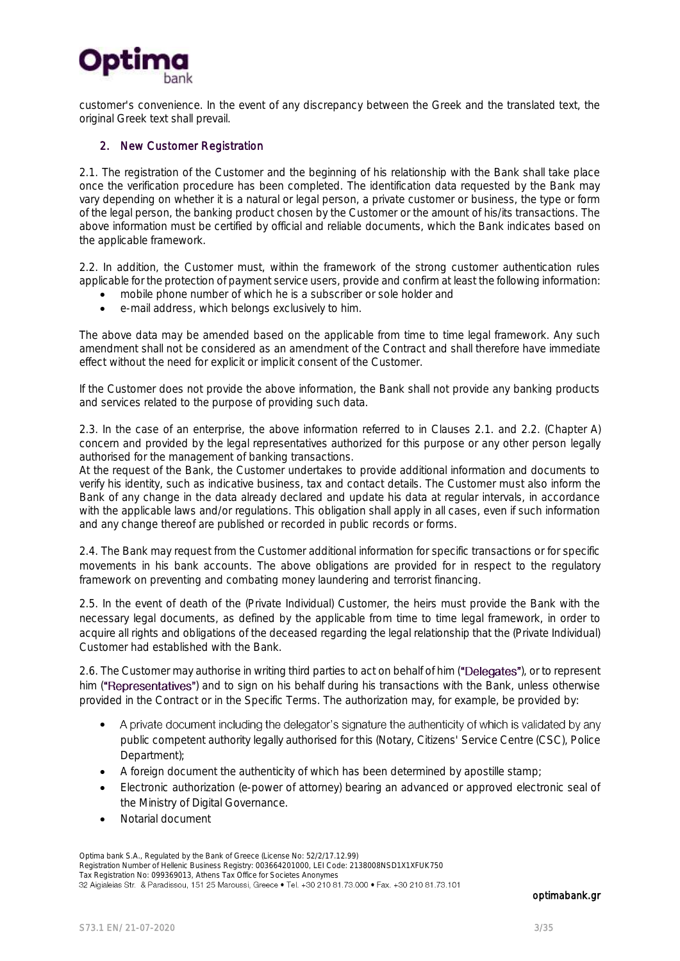

customer's convenience. In the event of any discrepancy between the Greek and the translated text, the original Greek text shall prevail.

#### 2. New Customer Registration

2.1. The registration of the Customer and the beginning of his relationship with the Bank shall take place once the verification procedure has been completed. The identification data requested by the Bank may vary depending on whether it is a natural or legal person, a private customer or business, the type or form of the legal person, the banking product chosen by the Customer or the amount of his/its transactions. The above information must be certified by official and reliable documents, which the Bank indicates based on the applicable framework.

2.2. In addition, the Customer must, within the framework of the strong customer authentication rules applicable for the protection of payment service users, provide and confirm at least the following information:

- mobile phone number of which he is a subscriber or sole holder and
- e-mail address, which belongs exclusively to him.

The above data may be amended based on the applicable from time to time legal framework. Any such amendment shall not be considered as an amendment of the Contract and shall therefore have immediate effect without the need for explicit or implicit consent of the Customer.

If the Customer does not provide the above information, the Bank shall not provide any banking products and services related to the purpose of providing such data.

2.3. In the case of an enterprise, the above information referred to in Clauses 2.1. and 2.2. (Chapter A) concern and provided by the legal representatives authorized for this purpose or any other person legally authorised for the management of banking transactions.

At the request of the Bank, the Customer undertakes to provide additional information and documents to verify his identity, such as indicative business, tax and contact details. The Customer must also inform the Bank of any change in the data already declared and update his data at regular intervals, in accordance with the applicable laws and/or regulations. This obligation shall apply in all cases, even if such information and any change thereof are published or recorded in public records or forms.

2.4. The Bank may request from the Customer additional information for specific transactions or for specific movements in his bank accounts. The above obligations are provided for in respect to the regulatory framework on preventing and combating money laundering and terrorist financing.

2.5. In the event of death of the (Private Individual) Customer, the heirs must provide the Bank with the necessary legal documents, as defined by the applicable from time to time legal framework, in order to acquire all rights and obligations of the deceased regarding the legal relationship that the (Private Individual) Customer had established with the Bank.

2.6. The Customer may authorise in writing third parties to act on behalf of him ("Delegates"), or to represent him ("Representatives") and to sign on his behalf during his transactions with the Bank, unless otherwise provided in the Contract or in the Specific Terms. The authorization may, for example, be provided by:

- $\bullet$ A private document including the delegator's signature the authenticity of which is validated by any public competent authority legally authorised for this (Notary, Citizens' Service Centre (CSC), Police Department);
- A foreign document the authenticity of which has been determined by apostille stamp;
- Electronic authorization (e-power of attorney) bearing an advanced or approved electronic seal of the Ministry of Digital Governance.
- Notarial document

Optima bank S.A., Regulated by the Bank of Greece (License No: 52/2/17.12.99) Registration Number of Hellenic Business Registry: 003664201000, LEI Code: 2138008NSD1X1XFUK750 Tax Registration No: 099369013, Athens Tax Office for Societes Anonymes<br>32 Aigialeias Str. & Paradissou, 151 25 Maroussi, Greece • Tel. +30 210 81.73.000 • Fax. +30 210 81.73.101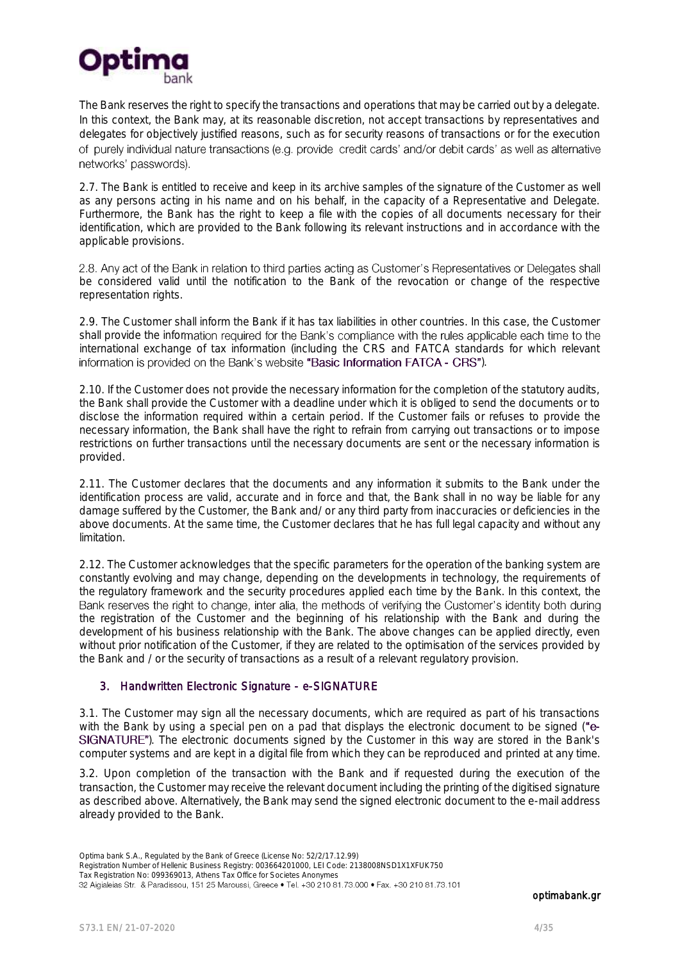

The Bank reserves the right to specify the transactions and operations that may be carried out by a delegate. In this context, the Bank may, at its reasonable discretion, not accept transactions by representatives and delegates for objectively justified reasons, such as for security reasons of transactions or for the execution of purely individual nature transactions (e.g. provide credit cards' and/or debit cards' as well as alternative networks' passwords).

2.7. The Bank is entitled to receive and keep in its archive samples of the signature of the Customer as well as any persons acting in his name and on his behalf, in the capacity of a Representative and Delegate. Furthermore, the Bank has the right to keep a file with the copies of all documents necessary for their identification, which are provided to the Bank following its relevant instructions and in accordance with the applicable provisions.

2.8. Any act of the Bank in relation to third parties acting as Customer's Representatives or Delegates shall be considered valid until the notification to the Bank of the revocation or change of the respective representation rights.

2.9. The Customer shall inform the Bank if it has tax liabilities in other countries. In this case, the Customer shall provide the information required for the Bank's compliance with the rules applicable each time to the international exchange of tax information (including the CRS and FATCA standards for which relevant information is provided on the Bank's website "Basic Information FATCA - CRS").

2.10. If the Customer does not provide the necessary information for the completion of the statutory audits, the Bank shall provide the Customer with a deadline under which it is obliged to send the documents or to disclose the information required within a certain period. If the Customer fails or refuses to provide the necessary information, the Bank shall have the right to refrain from carrying out transactions or to impose restrictions on further transactions until the necessary documents are sent or the necessary information is provided.

2.11. The Customer declares that the documents and any information it submits to the Bank under the identification process are valid, accurate and in force and that, the Bank shall in no way be liable for any damage suffered by the Customer, the Bank and/ or any third party from inaccuracies or deficiencies in the above documents. At the same time, the Customer declares that he has full legal capacity and without any limitation.

2.12. The Customer acknowledges that the specific parameters for the operation of the banking system are constantly evolving and may change, depending on the developments in technology, the requirements of the regulatory framework and the security procedures applied each time by the Bank. In this context, the Bank reserves the right to change, inter alia, the methods of verifying the Customer's identity both during the registration of the Customer and the beginning of his relationship with the Bank and during the development of his business relationship with the Bank. The above changes can be applied directly, even without prior notification of the Customer, if they are related to the optimisation of the services provided by the Bank and / or the security of transactions as a result of a relevant regulatory provision.

### 3. Handwritten Electronic Signature - e-SIGNATURE

3.1. The Customer may sign all the necessary documents, which are required as part of his transactions with the Bank by using a special pen on a pad that displays the electronic document to be signed ("e-**SIGNATURE"**). The electronic documents signed by the Customer in this way are stored in the Bank's computer systems and are kept in a digital file from which they can be reproduced and printed at any time.

3.2. Upon completion of the transaction with the Bank and if requested during the execution of the transaction, the Customer may receive the relevant document including the printing of the digitised signature as described above. Alternatively, the Bank may send the signed electronic document to the e-mail address already provided to the Bank.

Optima bank S.A., Regulated by the Bank of Greece (License No: 52/2/17.12.99)

Registration Number of Hellenic Business Registry: 003664201000, LEI Code: 2138008NSD1X1XFUK750 Tax Registration No: 099369013, Athens Tax Office for Societes Anonymes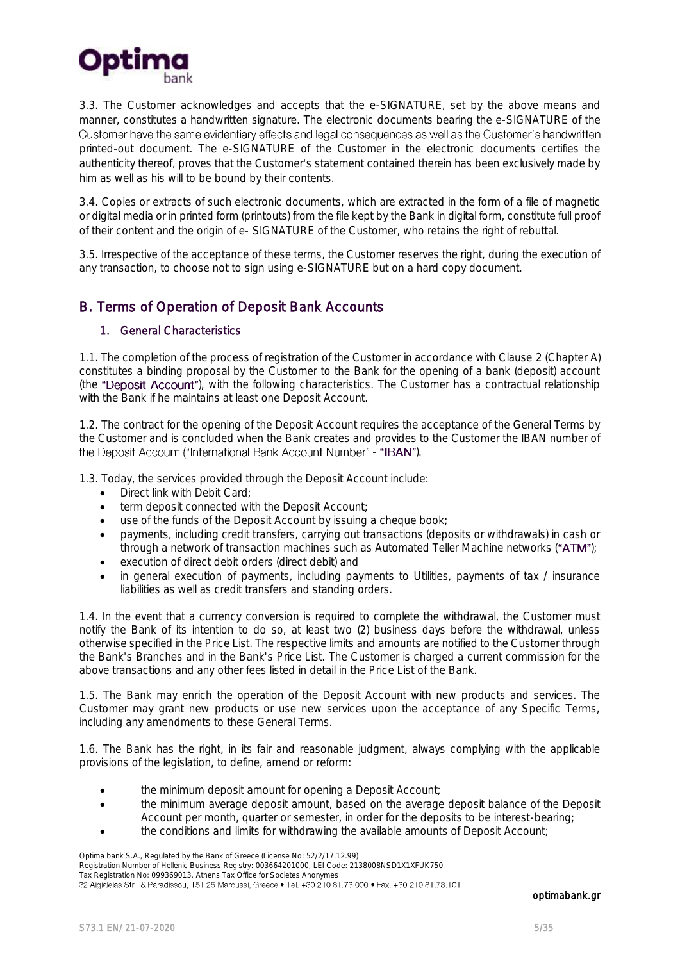

3.3. The Customer acknowledges and accepts that the e-SIGNATURE, set by the above means and manner, constitutes a handwritten signature. The electronic documents bearing the e-SIGNATURE of the Customer have the same evidentiary effects and legal consequences as well as the Customer's handwritten printed-out document. The e-SIGNATURE of the Customer in the electronic documents certifies the authenticity thereof, proves that the Customer's statement contained therein has been exclusively made by him as well as his will to be bound by their contents.

3.4. Copies or extracts of such electronic documents, which are extracted in the form of a file of magnetic or digital media or in printed form (printouts) from the file kept by the Bank in digital form, constitute full proof of their content and the origin of e- SIGNATURE of the Customer, who retains the right of rebuttal.

3.5. Irrespective of the acceptance of these terms, the Customer reserves the right, during the execution of any transaction, to choose not to sign using e-SIGNATURE but on a hard copy document.

# <span id="page-4-0"></span>B. Terms of Operation of Deposit Bank Accounts

#### 1. General Characteristics

1.1. The completion of the process of registration of the Customer in accordance with Clause 2 (Chapter A) constitutes a binding proposal by the Customer to the Bank for the opening of a bank (deposit) account (the "Deposit Account"), with the following characteristics. The Customer has a contractual relationship with the Bank if he maintains at least one Deposit Account.

1.2. The contract for the opening of the Deposit Account requires the acceptance of the General Terms by the Customer and is concluded when the Bank creates and provides to the Customer the IBAN number of the Deposit Account ("International Bank Account Number" - "IBAN").

1.3. Today, the services provided through the Deposit Account include:

- Direct link with Debit Card;
- term deposit connected with the Deposit Account;
- use of the funds of the Deposit Account by issuing a cheque book;
- payments, including credit transfers, carrying out transactions (deposits or withdrawals) in cash or through a network of transaction machines such as Automated Teller Machine networks (" $ATM$ ");
- execution of direct debit orders (direct debit) and
- in general execution of payments, including payments to Utilities, payments of tax / insurance liabilities as well as credit transfers and standing orders.

1.4. In the event that a currency conversion is required to complete the withdrawal, the Customer must notify the Bank of its intention to do so, at least two (2) business days before the withdrawal, unless otherwise specified in the Price List. The respective limits and amounts are notified to the Customer through the Bank's Branches and in the Bank's Price List. The Customer is charged a current commission for the above transactions and any other fees listed in detail in the Price List of the Bank.

1.5. The Bank may enrich the operation of the Deposit Account with new products and services. The Customer may grant new products or use new services upon the acceptance of any Specific Terms, including any amendments to these General Terms.

1.6. The Bank has the right, in its fair and reasonable judgment, always complying with the applicable provisions of the legislation, to define, amend or reform:

- the minimum deposit amount for opening a Deposit Account;
- the minimum average deposit amount, based on the average deposit balance of the Deposit Account per month, quarter or semester, in order for the deposits to be interest-bearing;
	- the conditions and limits for withdrawing the available amounts of Deposit Account;

Registration Number of Hellenic Business Registry: 003664201000, LEI Code: 2138008NSD1X1XFUK750

Tax Registration No: 099369013, Athens Tax Office for Societes Anonymes

Optima bank S.A., Regulated by the Bank of Greece (License No: 52/2/17.12.99)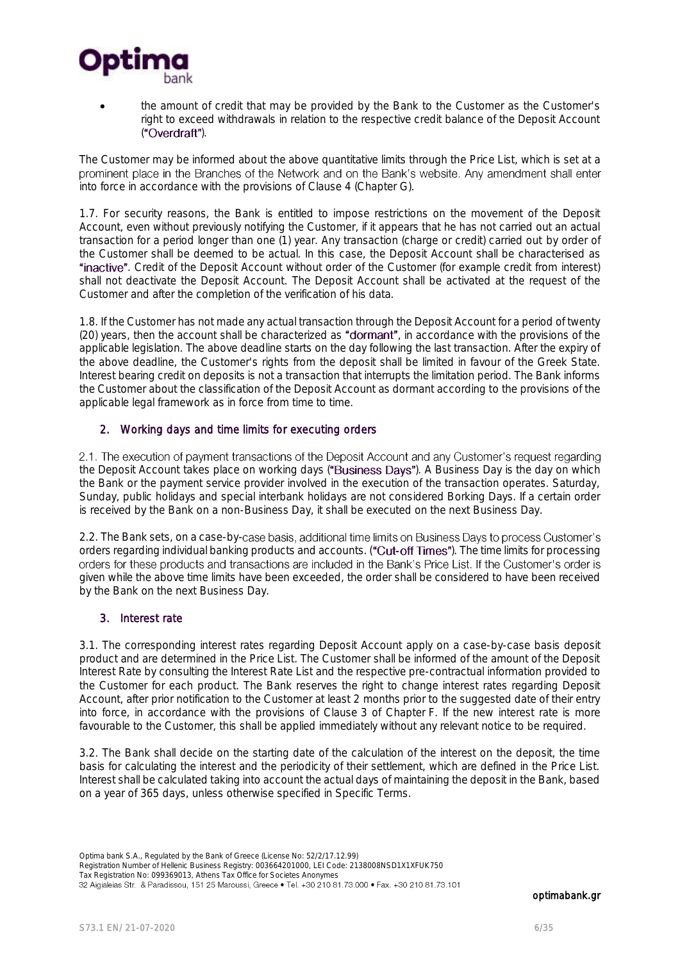

 the amount of credit that may be provided by the Bank to the Customer as the Customer's right to exceed withdrawals in relation to the respective credit balance of the Deposit Account ("Overdraft").

The Customer may be informed about the above quantitative limits through the Price List, which is set at a prominent place in the Branches of the Network and on the Bank's website. Any amendment shall enter into force in accordance with the provisions of Clause 4 (Chapter G).

1.7. For security reasons, the Bank is entitled to impose restrictions on the movement of the Deposit Account, even without previously notifying the Customer, if it appears that he has not carried out an actual transaction for a period longer than one (1) year. Any transaction (charge or credit) carried out by order of the Customer shall be deemed to be actual. In this case, the Deposit Account shall be characterised as "inactive". Credit of the Deposit Account without order of the Customer (for example credit from interest) shall not deactivate the Deposit Account. The Deposit Account shall be activated at the request of the Customer and after the completion of the verification of his data.

1.8. If the Customer has not made any actual transaction through the Deposit Account for a period of twenty (20) years, then the account shall be characterized as "dormant", in accordance with the provisions of the applicable legislation. The above deadline starts on the day following the last transaction. After the expiry of the above deadline, the Customer's rights from the deposit shall be limited in favour of the Greek State. Interest bearing credit on deposits is not a transaction that interrupts the limitation period. The Bank informs the Customer about the classification of the Deposit Account as dormant according to the provisions of the applicable legal framework as in force from time to time.

### 2. Working days and time limits for executing orders

the Deposit Account takes place on working days ("Business Days"). A Business Day is the day on which the Bank or the payment service provider involved in the execution of the transaction operates. Saturday, Sunday, public holidays and special interbank holidays are not considered Borking Days. If a certain order is received by the Bank on a non-Business Day, it shall be executed on the next Business Day.

2.2. The Bank sets, on a case-by-case basis, additional time limits on Business Days to process Customer's orders regarding individual banking products and accounts. ("Cut-off Times"). The time limits for processing orders for these products and transactions are included in the Bank's Price List. If the Customer's order is given while the above time limits have been exceeded, the order shall be considered to have been received by the Bank on the next Business Day.

#### 3. Interest rate

3.1. The corresponding interest rates regarding Deposit Account apply on a case-by-case basis deposit product and are determined in the Price List. The Customer shall be informed of the amount of the Deposit Interest Rate by consulting the Interest Rate List and the respective pre-contractual information provided to the Customer for each product. The Bank reserves the right to change interest rates regarding Deposit Account, after prior notification to the Customer at least 2 months prior to the suggested date of their entry into force, in accordance with the provisions of Clause 3 of Chapter F. If the new interest rate is more favourable to the Customer, this shall be applied immediately without any relevant notice to be required.

3.2. The Bank shall decide on the starting date of the calculation of the interest on the deposit, the time basis for calculating the interest and the periodicity of their settlement, which are defined in the Price List. Interest shall be calculated taking into account the actual days of maintaining the deposit in the Bank, based on a year of 365 days, unless otherwise specified in Specific Terms.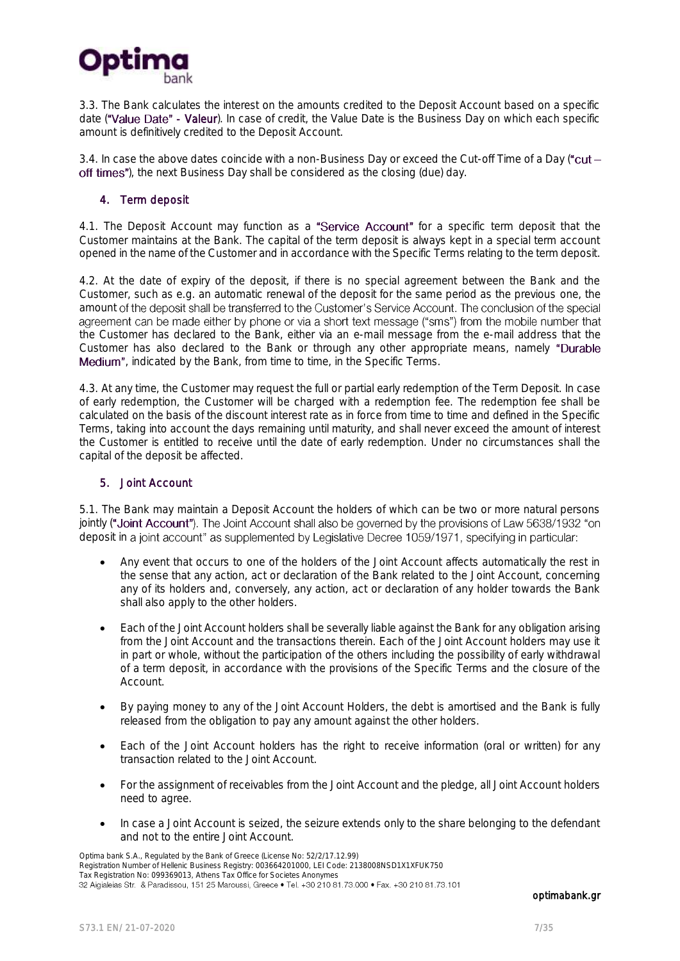

3.3. The Bank calculates the interest on the amounts credited to the Deposit Account based on a specific date ("Value Date" - Valeur). In case of credit, the Value Date is the Business Day on which each specific amount is definitively credited to the Deposit Account.

3.4. In case the above dates coincide with a non-Business Day or exceed the Cut-off Time of a Day (" $cut$ off times"), the next Business Day shall be considered as the closing (due) day.

#### 4. Term deposit

4.1. The Deposit Account may function as a "Service Account" for a specific term deposit that the Customer maintains at the Bank. The capital of the term deposit is always kept in a special term account opened in the name of the Customer and in accordance with the Specific Terms relating to the term deposit.

4.2. At the date of expiry of the deposit, if there is no special agreement between the Bank and the Customer, such as e.g. an automatic renewal of the deposit for the same period as the previous one, the amount of the deposit shall be transferred to the Customer's Service Account. The conclusion of the special agreement can be made either by phone or via a short text message ("sms") from the mobile number that the Customer has declared to the Bank, either via an e-mail message from the e-mail address that the Customer has also declared to the Bank or through any other appropriate means, namely "Durable **Medium**", indicated by the Bank, from time to time, in the Specific Terms.

4.3. At any time, the Customer may request the full or partial early redemption of the Term Deposit. In case of early redemption, the Customer will be charged with a redemption fee. The redemption fee shall be calculated on the basis of the discount interest rate as in force from time to time and defined in the Specific Terms, taking into account the days remaining until maturity, and shall never exceed the amount of interest the Customer is entitled to receive until the date of early redemption. Under no circumstances shall the capital of the deposit be affected.

#### 5. Joint Account

5.1. The Bank may maintain a Deposit Account the holders of which can be two or more natural persons jointly ("Joint Account"). The Joint Account shall also be governed by the provisions of Law 5638/1932 "on deposit in a joint account" as supplemented by Legislative Decree 1059/1971, specifying in particular:

- Any event that occurs to one of the holders of the Joint Account affects automatically the rest in the sense that any action, act or declaration of the Bank related to the Joint Account, concerning any of its holders and, conversely, any action, act or declaration of any holder towards the Bank shall also apply to the other holders.
- Each of the Joint Account holders shall be severally liable against the Bank for any obligation arising from the Joint Account and the transactions therein. Each of the Joint Account holders may use it in part or whole, without the participation of the others including the possibility of early withdrawal of a term deposit, in accordance with the provisions of the Specific Terms and the closure of the Account.
- By paying money to any of the Joint Account Holders, the debt is amortised and the Bank is fully released from the obligation to pay any amount against the other holders.
- Each of the Joint Account holders has the right to receive information (oral or written) for any transaction related to the Joint Account.
- For the assignment of receivables from the Joint Account and the pledge, all Joint Account holders need to agree.
- In case a Joint Account is seized, the seizure extends only to the share belonging to the defendant and not to the entire Joint Account.

Optima bank S.A., Regulated by the Bank of Greece (License No: 52/2/17.12.99) Registration Number of Hellenic Business Registry: 003664201000, LEI Code: 2138008NSD1X1XFUK750 Tax Registration No: 099369013, Athens Tax Office for Societes Anonymes<br>32 Aigialeias Str. & Paradissou, 151 25 Maroussi, Greece • Tel. +30 210 81.73.000 • Fax. +30 210 81.73.101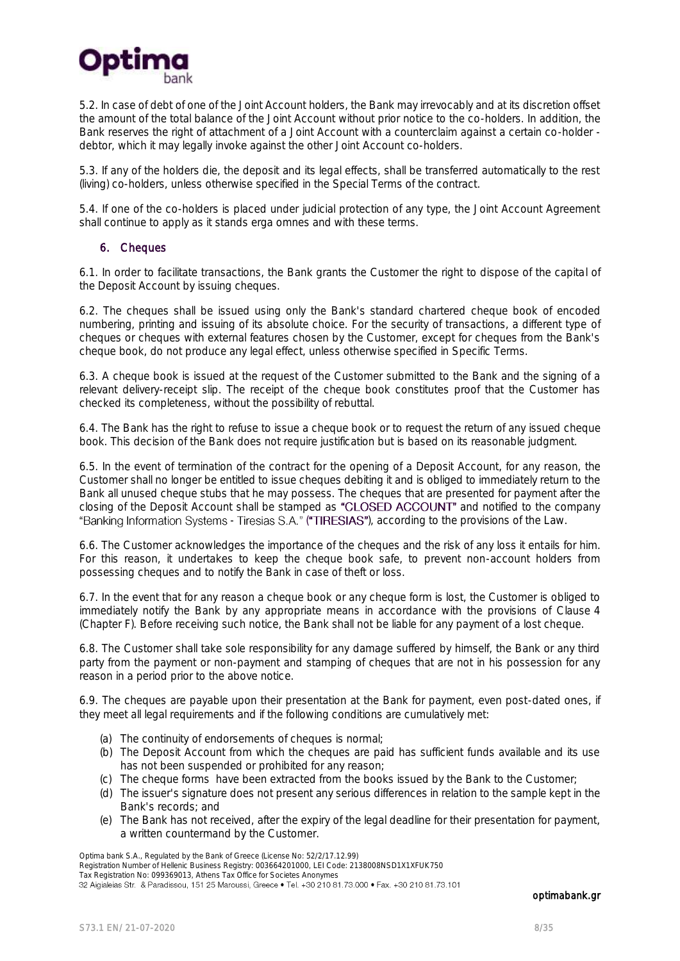

5.2. In case of debt of one of the Joint Account holders, the Bank may irrevocably and at its discretion offset the amount of the total balance of the Joint Account without prior notice to the co-holders. In addition, the Bank reserves the right of attachment of a Joint Account with a counterclaim against a certain co-holder debtor, which it may legally invoke against the other Joint Account co-holders.

5.3. If any of the holders die, the deposit and its legal effects, shall be transferred automatically to the rest (living) co-holders, unless otherwise specified in the Special Terms of the contract.

5.4. If one of the co-holders is placed under judicial protection of any type, the Joint Account Agreement shall continue to apply as it stands erga omnes and with these terms.

#### 6. Cheques

6.1. In order to facilitate transactions, the Bank grants the Customer the right to dispose of the capital of the Deposit Account by issuing cheques.

6.2. The cheques shall be issued using only the Bank's standard chartered cheque book of encoded numbering, printing and issuing of its absolute choice. For the security of transactions, a different type of cheques or cheques with external features chosen by the Customer, except for cheques from the Bank's cheque book, do not produce any legal effect, unless otherwise specified in Specific Terms.

6.3. A cheque book is issued at the request of the Customer submitted to the Bank and the signing of a relevant delivery-receipt slip. The receipt of the cheque book constitutes proof that the Customer has checked its completeness, without the possibility of rebuttal.

6.4. The Bank has the right to refuse to issue a cheque book or to request the return of any issued cheque book. This decision of the Bank does not require justification but is based on its reasonable judgment.

6.5. In the event of termination of the contract for the opening of a Deposit Account, for any reason, the Customer shall no longer be entitled to issue cheques debiting it and is obliged to immediately return to the Bank all unused cheque stubs that he may possess. The cheques that are presented for payment after the closing of the Deposit Account shall be stamped as "CLOSED ACCOUNT" and notified to the company "Banking Information Systems - Tiresias S.A." ("TIRESIAS"), according to the provisions of the Law.

6.6. The Customer acknowledges the importance of the cheques and the risk of any loss it entails for him. For this reason, it undertakes to keep the cheque book safe, to prevent non-account holders from possessing cheques and to notify the Bank in case of theft or loss.

6.7. In the event that for any reason a cheque book or any cheque form is lost, the Customer is obliged to immediately notify the Bank by any appropriate means in accordance with the provisions of Clause 4 (Chapter F). Before receiving such notice, the Bank shall not be liable for any payment of a lost cheque.

6.8. The Customer shall take sole responsibility for any damage suffered by himself, the Bank or any third party from the payment or non-payment and stamping of cheques that are not in his possession for any reason in a period prior to the above notice.

6.9. The cheques are payable upon their presentation at the Bank for payment, even post-dated ones, if they meet all legal requirements and if the following conditions are cumulatively met:

- (a) The continuity of endorsements of cheques is normal;
- (b) The Deposit Account from which the cheques are paid has sufficient funds available and its use has not been suspended or prohibited for any reason;
- (c) The cheque forms have been extracted from the books issued by the Bank to the Customer;
- (d) The issuer's signature does not present any serious differences in relation to the sample kept in the Bank's records; and
- (e) The Bank has not received, after the expiry of the legal deadline for their presentation for payment, a written countermand by the Customer.

Registration Number of Hellenic Business Registry: 003664201000, LEI Code: 2138008NSD1X1XFUK750

Tax Registration No: 099369013, Athens Tax Office for Societes Anonymes<br>32 Aigialeias Str. & Paradissou, 151 25 Maroussi, Greece • Tel. +30 210 81.73.000 • Fax. +30 210 81.73.101

Optima bank S.A., Regulated by the Bank of Greece (License No: 52/2/17.12.99)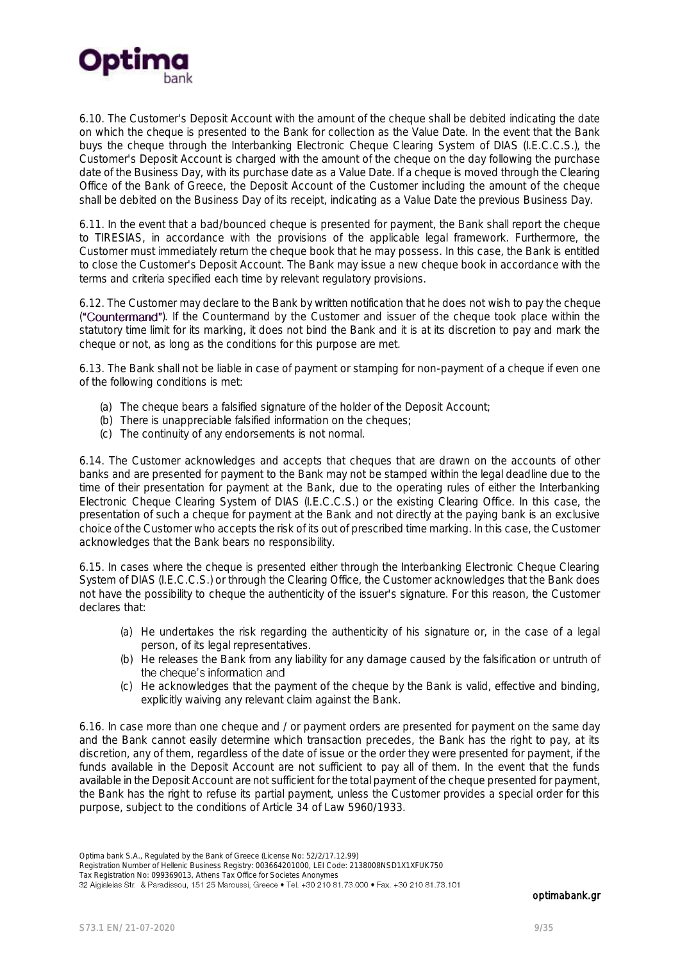

6.10. The Customer's Deposit Account with the amount of the cheque shall be debited indicating the date on which the cheque is presented to the Bank for collection as the Value Date. In the event that the Bank buys the cheque through the Interbanking Electronic Cheque Clearing System of DIAS (I.E.C.C.S.), the Customer's Deposit Account is charged with the amount of the cheque on the day following the purchase date of the Business Day, with its purchase date as a Value Date. If a cheque is moved through the Clearing Office of the Bank of Greece, the Deposit Account of the Customer including the amount of the cheque shall be debited on the Business Day of its receipt, indicating as a Value Date the previous Business Day.

6.11. In the event that a bad/bounced cheque is presented for payment, the Bank shall report the cheque to TIRESIAS, in accordance with the provisions of the applicable legal framework. Furthermore, the Customer must immediately return the cheque book that he may possess. In this case, the Bank is entitled to close the Customer's Deposit Account. The Bank may issue a new cheque book in accordance with the terms and criteria specified each time by relevant regulatory provisions.

6.12. The Customer may declare to the Bank by written notification that he does not wish to pay the cheque ("Countermand"). If the Countermand by the Customer and issuer of the cheque took place within the statutory time limit for its marking, it does not bind the Bank and it is at its discretion to pay and mark the cheque or not, as long as the conditions for this purpose are met.

6.13. The Bank shall not be liable in case of payment or stamping for non-payment of a cheque if even one of the following conditions is met:

- (a) The cheque bears a falsified signature of the holder of the Deposit Account;
- (b) There is unappreciable falsified information on the cheques;
- (c) The continuity of any endorsements is not normal.

6.14. The Customer acknowledges and accepts that cheques that are drawn on the accounts of other banks and are presented for payment to the Bank may not be stamped within the legal deadline due to the time of their presentation for payment at the Bank, due to the operating rules of either the Interbanking Electronic Cheque Clearing System of DIAS (I.E.C.C.S.) or the existing Clearing Office. In this case, the presentation of such a cheque for payment at the Bank and not directly at the paying bank is an exclusive choice of the Customer who accepts the risk of its out of prescribed time marking. In this case, the Customer acknowledges that the Bank bears no responsibility.

6.15. In cases where the cheque is presented either through the Interbanking Electronic Cheque Clearing System of DIAS (I.E.C.C.S.) or through the Clearing Office, the Customer acknowledges that the Bank does not have the possibility to cheque the authenticity of the issuer's signature. For this reason, the Customer declares that:

- (a) He undertakes the risk regarding the authenticity of his signature or, in the case of a legal person, of its legal representatives.
- (b) He releases the Bank from any liability for any damage caused by the falsification or untruth of the cheque's information and
- (c) He acknowledges that the payment of the cheque by the Bank is valid, effective and binding, explicitly waiving any relevant claim against the Bank.

6.16. In case more than one cheque and / or payment orders are presented for payment on the same day and the Bank cannot easily determine which transaction precedes, the Bank has the right to pay, at its discretion, any of them, regardless of the date of issue or the order they were presented for payment, if the funds available in the Deposit Account are not sufficient to pay all of them. In the event that the funds available in the Deposit Account are not sufficient for the total payment of the cheque presented for payment, the Bank has the right to refuse its partial payment, unless the Customer provides a special order for this purpose, subject to the conditions of Article 34 of Law 5960/1933.

Optima bank S.A., Regulated by the Bank of Greece (License No: 52/2/17.12.99)

Registration Number of Hellenic Business Registry: 003664201000, LEI Code: 2138008NSD1X1XFUK750

Tax Registration No: 099369013, Athens Tax Office for Societes Anonymes<br>32 Aigialeias Str. & Paradissou, 151 25 Maroussi, Greece • Tel. +30 210 81.73.000 • Fax. +30 210 81.73.101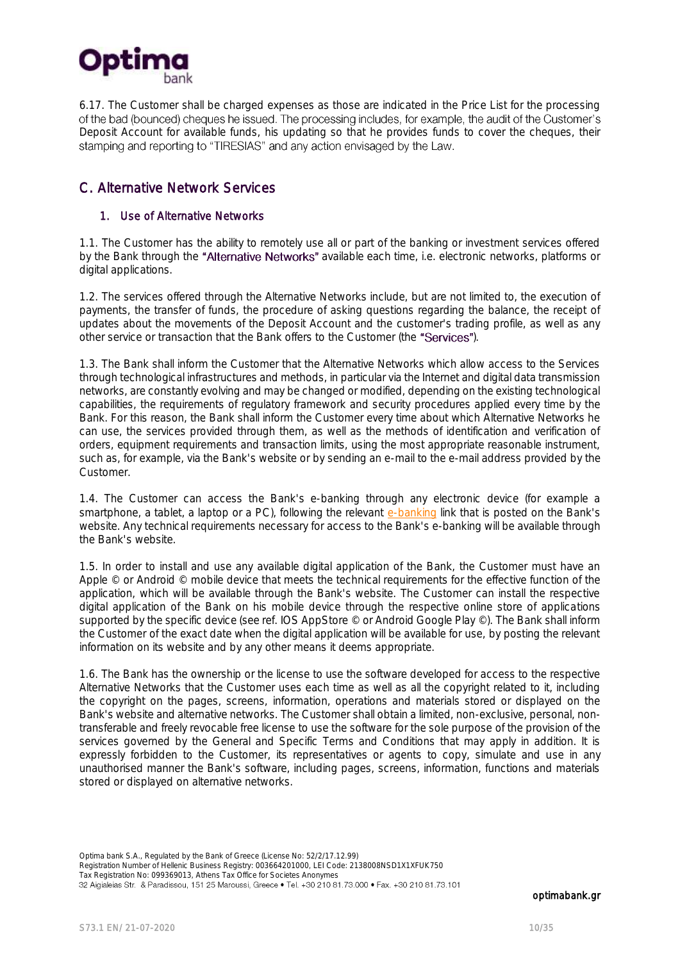

6.17. The Customer shall be charged expenses as those are indicated in the Price List for the processing Deposit Account for available funds, his updating so that he provides funds to cover the cheques, their stamping and reporting to "TIRESIAS" and any action envisaged by the Law.

# <span id="page-9-0"></span>C. Alternative Network Services

#### 1. Use of Alternative Networks

1.1. The Customer has the ability to remotely use all or part of the banking or investment services offered by the Bank through the "Alternative Networks" available each time, i.e. electronic networks, platforms or digital applications.

1.2. The services offered through the Alternative Networks include, but are not limited to, the execution of payments, the transfer of funds, the procedure of asking questions regarding the balance, the receipt of updates about the movements of the Deposit Account and the customer's trading profile, as well as any other service or transaction that the Bank offers to the Customer (the "Services").

1.3. The Bank shall inform the Customer that the Alternative Networks which allow access to the Services through technological infrastructures and methods, in particular via the Internet and digital data transmission networks, are constantly evolving and may be changed or modified, depending on the existing technological capabilities, the requirements of regulatory framework and security procedures applied every time by the Bank. For this reason, the Bank shall inform the Customer every time about which Alternative Networks he can use, the services provided through them, as well as the methods of identification and verification of orders, equipment requirements and transaction limits, using the most appropriate reasonable instrument, such as, for example, via the Bank's website or by sending an e-mail to the e-mail address provided by the Customer.

1.4. The Customer can access the Bank's e-banking through any electronic device (for example a smartphone, a tablet, a laptop or a PC), following the relevant [e-banking](http://www.ebanking.optimabank.gr/) link that is posted on the Bank's website. Any technical requirements necessary for access to the Bank's e-banking will be available through the Bank's website.

1.5. In order to install and use any available digital application of the Bank, the Customer must have an Apple © or Android © mobile device that meets the technical requirements for the effective function of the application, which will be available through the Bank's website. The Customer can install the respective digital application of the Bank on his mobile device through the respective online store of applications supported by the specific device (see ref. IOS AppStore © or Android Google Play ©). The Bank shall inform the Customer of the exact date when the digital application will be available for use, by posting the relevant information on its website and by any other means it deems appropriate.

1.6. The Bank has the ownership or the license to use the software developed for access to the respective Alternative Networks that the Customer uses each time as well as all the copyright related to it, including the copyright on the pages, screens, information, operations and materials stored or displayed on the Bank's website and alternative networks. The Customer shall obtain a limited, non-exclusive, personal, nontransferable and freely revocable free license to use the software for the sole purpose of the provision of the services governed by the General and Specific Terms and Conditions that may apply in addition. It is expressly forbidden to the Customer, its representatives or agents to copy, simulate and use in any unauthorised manner the Bank's software, including pages, screens, information, functions and materials stored or displayed on alternative networks.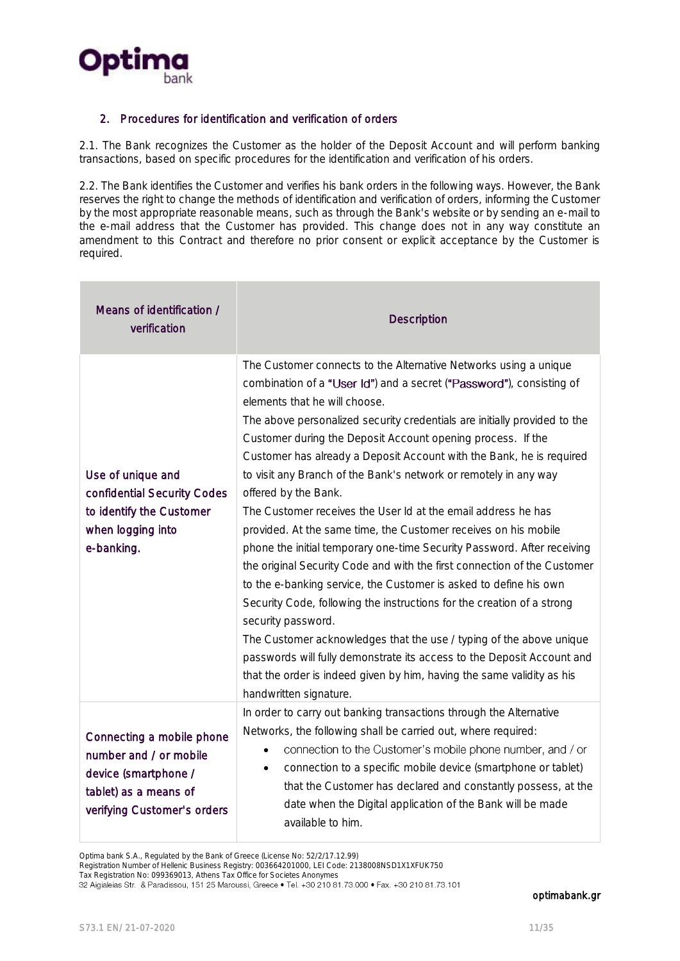

#### 2. Procedures for identification and verification of orders

2.1. The Bank recognizes the Customer as the holder of the Deposit Account and will perform banking transactions, based on specific procedures for the identification and verification of his orders.

2.2. The Bank identifies the Customer and verifies his bank orders in the following ways. However, the Bank reserves the right to change the methods of identification and verification of orders, informing the Customer by the most appropriate reasonable means, such as through the Bank's website or by sending an e-mail to the e-mail address that the Customer has provided. This change does not in any way constitute an amendment to this Contract and therefore no prior consent or explicit acceptance by the Customer is required.

| Means of identification /<br>verification                                                                                           | <b>Description</b>                                                                                                                                                                                                                                                                                                                                                                                                                                                                                                                                                                                                                                                                                                                                                                                                                                                                                                                                                                                                                                                                                                                                                                                             |
|-------------------------------------------------------------------------------------------------------------------------------------|----------------------------------------------------------------------------------------------------------------------------------------------------------------------------------------------------------------------------------------------------------------------------------------------------------------------------------------------------------------------------------------------------------------------------------------------------------------------------------------------------------------------------------------------------------------------------------------------------------------------------------------------------------------------------------------------------------------------------------------------------------------------------------------------------------------------------------------------------------------------------------------------------------------------------------------------------------------------------------------------------------------------------------------------------------------------------------------------------------------------------------------------------------------------------------------------------------------|
| Use of unique and<br>confidential Security Codes<br>to identify the Customer<br>when logging into<br>e-banking.                     | The Customer connects to the Alternative Networks using a unique<br>combination of a "User Id") and a secret ("Password"), consisting of<br>elements that he will choose.<br>The above personalized security credentials are initially provided to the<br>Customer during the Deposit Account opening process. If the<br>Customer has already a Deposit Account with the Bank, he is required<br>to visit any Branch of the Bank's network or remotely in any way<br>offered by the Bank.<br>The Customer receives the User Id at the email address he has<br>provided. At the same time, the Customer receives on his mobile<br>phone the initial temporary one-time Security Password. After receiving<br>the original Security Code and with the first connection of the Customer<br>to the e-banking service, the Customer is asked to define his own<br>Security Code, following the instructions for the creation of a strong<br>security password.<br>The Customer acknowledges that the use / typing of the above unique<br>passwords will fully demonstrate its access to the Deposit Account and<br>that the order is indeed given by him, having the same validity as his<br>handwritten signature. |
| Connecting a mobile phone<br>number and / or mobile<br>device (smartphone /<br>tablet) as a means of<br>verifying Customer's orders | In order to carry out banking transactions through the Alternative<br>Networks, the following shall be carried out, where required:<br>connection to the Customer's mobile phone number, and / or<br>connection to a specific mobile device (smartphone or tablet)<br>$\bullet$<br>that the Customer has declared and constantly possess, at the<br>date when the Digital application of the Bank will be made<br>available to him.                                                                                                                                                                                                                                                                                                                                                                                                                                                                                                                                                                                                                                                                                                                                                                            |

Optima bank S.A., Regulated by the Bank of Greece (License No: 52/2/17.12.99)

Registration Number of Hellenic Business Registry: 003664201000, LEI Code: 2138008NSD1X1XFUK750

Tax Registration No: 099369013, Athens Tax Office for Societes Anonymes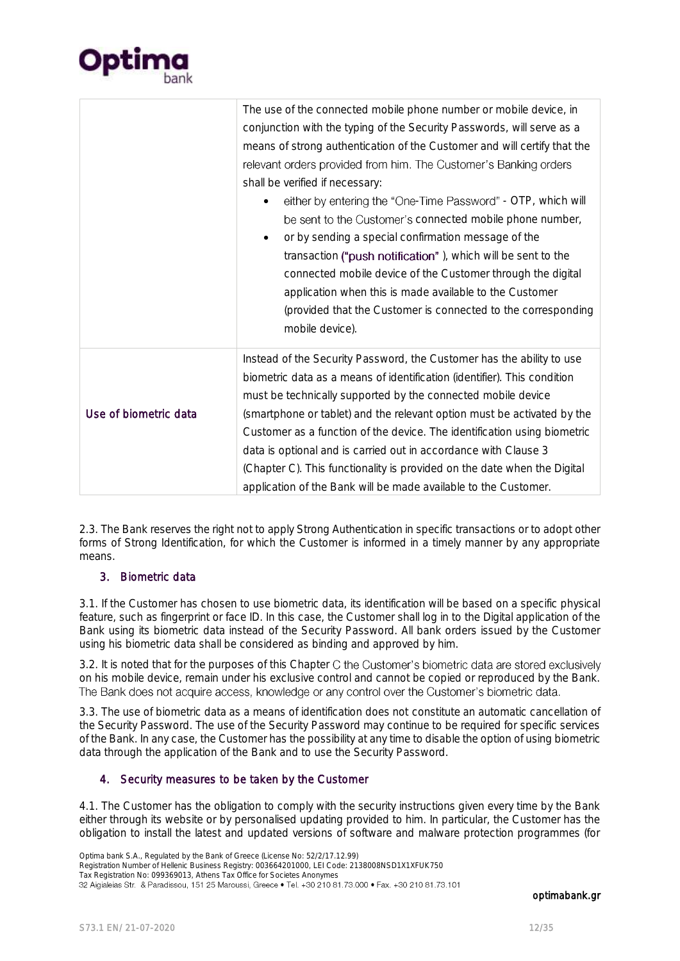

|                       | The use of the connected mobile phone number or mobile device, in<br>conjunction with the typing of the Security Passwords, will serve as a<br>means of strong authentication of the Customer and will certify that the<br>relevant orders provided from him. The Customer's Banking orders<br>shall be verified if necessary:<br>either by entering the "One-Time Password" - OTP, which will<br>be sent to the Customer's connected mobile phone number,<br>or by sending a special confirmation message of the<br>transaction ("push notification"), which will be sent to the<br>connected mobile device of the Customer through the digital<br>application when this is made available to the Customer<br>(provided that the Customer is connected to the corresponding<br>mobile device). |
|-----------------------|-------------------------------------------------------------------------------------------------------------------------------------------------------------------------------------------------------------------------------------------------------------------------------------------------------------------------------------------------------------------------------------------------------------------------------------------------------------------------------------------------------------------------------------------------------------------------------------------------------------------------------------------------------------------------------------------------------------------------------------------------------------------------------------------------|
| Use of biometric data | Instead of the Security Password, the Customer has the ability to use<br>biometric data as a means of identification (identifier). This condition<br>must be technically supported by the connected mobile device<br>(smartphone or tablet) and the relevant option must be activated by the<br>Customer as a function of the device. The identification using biometric<br>data is optional and is carried out in accordance with Clause 3<br>(Chapter C). This functionality is provided on the date when the Digital<br>application of the Bank will be made available to the Customer.                                                                                                                                                                                                      |

2.3. The Bank reserves the right not to apply Strong Authentication in specific transactions or to adopt other forms of Strong Identification, for which the Customer is informed in a timely manner by any appropriate means.

#### 3. Biometric data

3.1. If the Customer has chosen to use biometric data, its identification will be based on a specific physical feature, such as fingerprint or face ID. In this case, the Customer shall log in to the Digital application of the Bank using its biometric data instead of the Security Password. All bank orders issued by the Customer using his biometric data shall be considered as binding and approved by him.

3.2. It is noted that for the purposes of this Chapter C the Customer's biometric data are stored exclusively on his mobile device, remain under his exclusive control and cannot be copied or reproduced by the Bank. The Bank does not acquire access, knowledge or any control over the Customer's biometric data.

3.3. The use of biometric data as a means of identification does not constitute an automatic cancellation of the Security Password. The use of the Security Password may continue to be required for specific services of the Bank. In any case, the Customer has the possibility at any time to disable the option of using biometric data through the application of the Bank and to use the Security Password.

### 4. Security measures to be taken by the Customer

4.1. The Customer has the obligation to comply with the security instructions given every time by the Bank either through its website or by personalised updating provided to him. In particular, the Customer has the obligation to install the latest and updated versions of software and malware protection programmes (for

Optima bank S.A., Regulated by the Bank of Greece (License No: 52/2/17.12.99)

Registration Number of Hellenic Business Registry: 003664201000, LEI Code: 2138008NSD1X1XFUK750

Tax Registration No: 099369013, Athens Tax Office for Societes Anonymes<br>32 Aigialeias Str. & Paradissou, 151 25 Maroussi, Greece • Tel. +30 210 81.73.000 • Fax. +30 210 81.73.101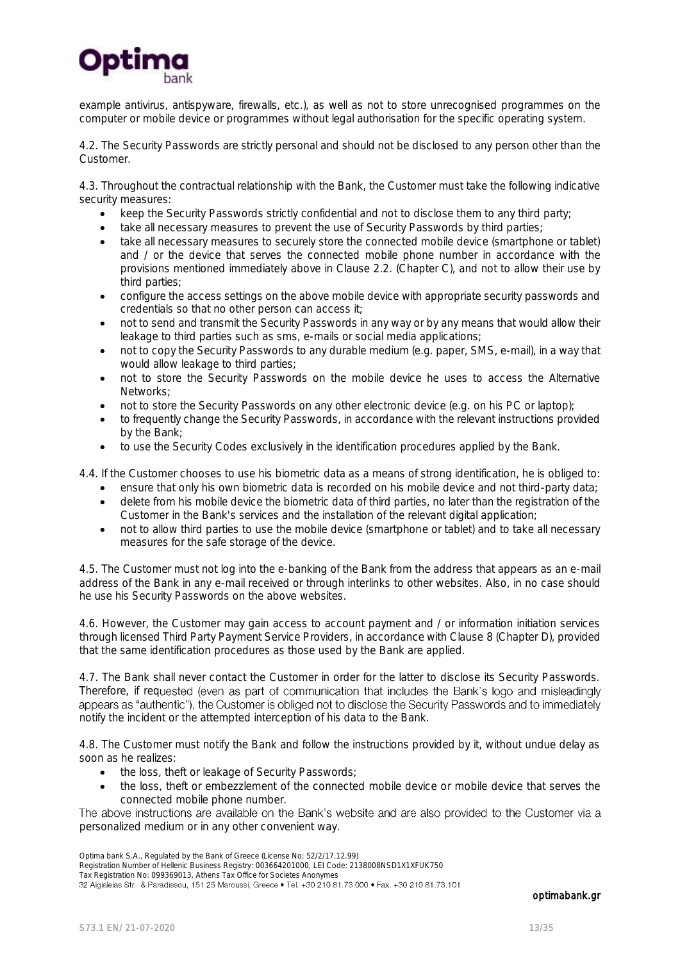

example antivirus, antispyware, firewalls, etc.), as well as not to store unrecognised programmes on the computer or mobile device or programmes without legal authorisation for the specific operating system.

4.2. The Security Passwords are strictly personal and should not be disclosed to any person other than the Customer.

4.3. Throughout the contractual relationship with the Bank, the Customer must take the following indicative security measures:

- keep the Security Passwords strictly confidential and not to disclose them to any third party;
- take all necessary measures to prevent the use of Security Passwords by third parties;
- take all necessary measures to securely store the connected mobile device (smartphone or tablet) and / or the device that serves the connected mobile phone number in accordance with the provisions mentioned immediately above in Clause 2.2. (Chapter C), and not to allow their use by third parties;
- configure the access settings on the above mobile device with appropriate security passwords and credentials so that no other person can access it;
- not to send and transmit the Security Passwords in any way or by any means that would allow their leakage to third parties such as sms, e-mails or social media applications;
- not to copy the Security Passwords to any durable medium (e.g. paper, SMS, e-mail), in a way that would allow leakage to third parties;
- not to store the Security Passwords on the mobile device he uses to access the Alternative Networks;
- not to store the Security Passwords on any other electronic device (e.g. on his PC or laptop);
- to frequently change the Security Passwords, in accordance with the relevant instructions provided by the Bank;
- to use the Security Codes exclusively in the identification procedures applied by the Bank.

4.4. If the Customer chooses to use his biometric data as a means of strong identification, he is obliged to:

- ensure that only his own biometric data is recorded on his mobile device and not third-party data;
- delete from his mobile device the biometric data of third parties, no later than the registration of the Customer in the Bank's services and the installation of the relevant digital application;
- not to allow third parties to use the mobile device (smartphone or tablet) and to take all necessary measures for the safe storage of the device.

4.5. The Customer must not log into the e-banking of the Bank from the address that appears as an e-mail address of the Bank in any e-mail received or through interlinks to other websites. Also, in no case should he use his Security Passwords on the above websites.

4.6. However, the Customer may gain access to account payment and / or information initiation services through licensed Third Party Payment Service Providers, in accordance with Clause 8 (Chapter D), provided that the same identification procedures as those used by the Bank are applied.

4.7. The Bank shall never contact the Customer in order for the latter to disclose its Security Passwords. Therefore, if requested (even as part of communication that includes the Bank's logo and misleadingly appears as "authentic"), the Customer is obliged not to disclose the Security Passwords and to immediately notify the incident or the attempted interception of his data to the Bank.

4.8. The Customer must notify the Bank and follow the instructions provided by it, without undue delay as soon as he realizes:

- the loss, theft or leakage of Security Passwords;
- the loss, theft or embezzlement of the connected mobile device or mobile device that serves the connected mobile phone number.

The above instructions are available on the Bank's website and are also provided to the Customer via a personalized medium or in any other convenient way.

Optima bank S.A., Regulated by the Bank of Greece (License No: 52/2/17.12.99)

Registration Number of Hellenic Business Registry: 003664201000, LEI Code: 2138008NSD1X1XFUK750

Tax Registration No: 099369013, Athens Tax Office for Societes Anonymes<br>32 Aigialeias Str. & Paradissou, 151 25 Maroussi, Greece • Tel. +30 210 81.73.000 • Fax. +30 210 81.73.101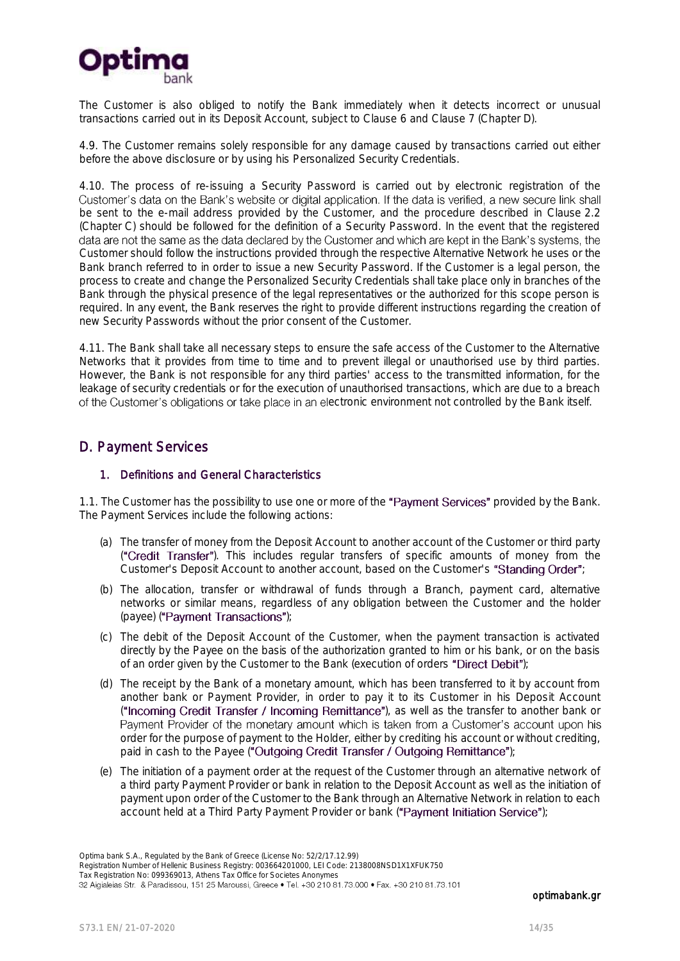

The Customer is also obliged to notify the Bank immediately when it detects incorrect or unusual transactions carried out in its Deposit Account, subject to Clause 6 and Clause 7 (Chapter D).

4.9. The Customer remains solely responsible for any damage caused by transactions carried out either before the above disclosure or by using his Personalized Security Credentials.

4.10. The process of re-issuing a Security Password is carried out by electronic registration of the Customer's data on the Bank's website or digital application. If the data is verified, a new secure link shall be sent to the e-mail address provided by the Customer, and the procedure described in Clause 2.2 (Chapter C) should be followed for the definition of a Security Password. In the event that the registered data are not the same as the data declared by the Customer and which are kept in the Bank's systems, the Customer should follow the instructions provided through the respective Alternative Network he uses or the Bank branch referred to in order to issue a new Security Password. If the Customer is a legal person, the process to create and change the Personalized Security Credentials shall take place only in branches of the Bank through the physical presence of the legal representatives or the authorized for this scope person is required. In any event, the Bank reserves the right to provide different instructions regarding the creation of new Security Passwords without the prior consent of the Customer.

4.11. The Bank shall take all necessary steps to ensure the safe access of the Customer to the Alternative Networks that it provides from time to time and to prevent illegal or unauthorised use by third parties. However, the Bank is not responsible for any third parties' access to the transmitted information, for the leakage of security credentials or for the execution of unauthorised transactions, which are due to a breach of the Customer's obligations or take place in an electronic environment not controlled by the Bank itself.

## <span id="page-13-0"></span>D. Payment Services

#### 1. Definitions and General Characteristics

1.1. The Customer has the possibility to use one or more of the "Payment Services" provided by the Bank. The Payment Services include the following actions:

- (a) The transfer of money from the Deposit Account to another account of the Customer or third party ("Credit Transfer"). This includes regular transfers of specific amounts of money from the Customer's Deposit Account to another account, based on the Customer's "Standing Order";
- (b) The allocation, transfer or withdrawal of funds through a Branch, payment card, alternative networks or similar means, regardless of any obligation between the Customer and the holder (payee) ("Payment Transactions");
- (c) The debit of the Deposit Account of the Customer, when the payment transaction is activated directly by the Payee on the basis of the authorization granted to him or his bank, or on the basis of an order given by the Customer to the Bank (execution of orders "Direct Debit");
- (d) The receipt by the Bank of a monetary amount, which has been transferred to it by account from another bank or Payment Provider, in order to pay it to its Customer in his Deposit Account ("Incoming Credit Transfer / Incoming Remittance"), as well as the transfer to another bank or Payment Provider of the monetary amount which is taken from a Customer's account upon his order for the purpose of payment to the Holder, either by crediting his account or without crediting, paid in cash to the Payee ("Outgoing Credit Transfer / Outgoing Remittance");
- (e) The initiation of a payment order at the request of the Customer through an alternative network of a third party Payment Provider or bank in relation to the Deposit Account as well as the initiation of payment upon order of the Customer to the Bank through an Alternative Network in relation to each account held at a Third Party Payment Provider or bank ("Payment Initiation Service");

Optima bank S.A., Regulated by the Bank of Greece (License No: 52/2/17.12.99) Registration Number of Hellenic Business Registry: 003664201000, LEI Code: 2138008NSD1X1XFUK750 Tax Registration No: 099369013, Athens Tax Office for Societes Anonymes<br>32 Aigialeias Str. & Paradissou, 151 25 Maroussi, Greece • Tel. +30 210 81.73.000 • Fax. +30 210 81.73.101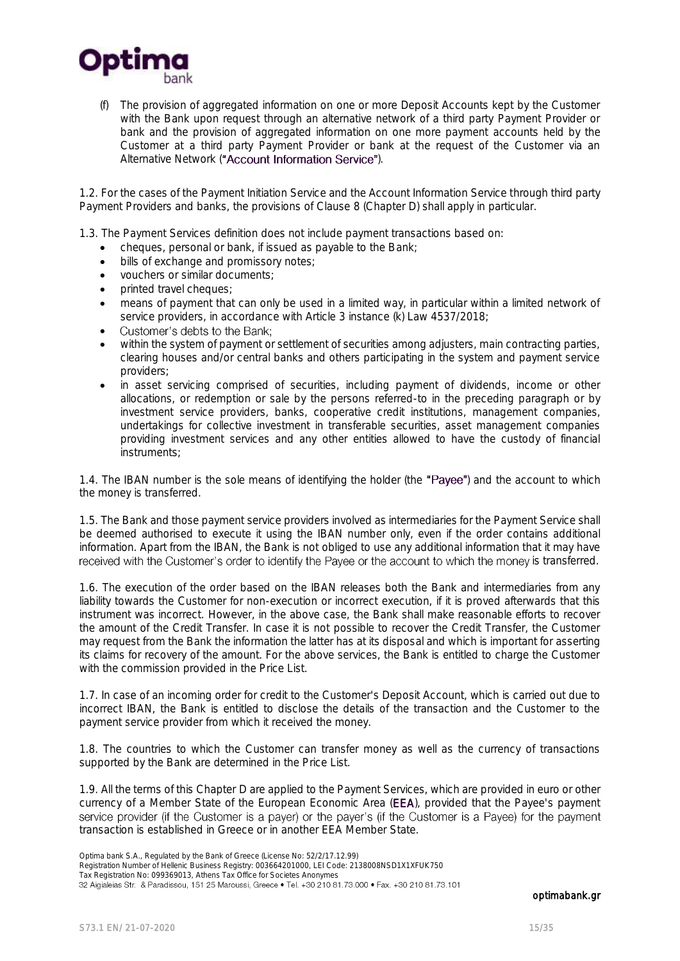

(f) The provision of aggregated information on one or more Deposit Accounts kept by the Customer with the Bank upon request through an alternative network of a third party Payment Provider or bank and the provision of aggregated information on one more payment accounts held by the Customer at a third party Payment Provider or bank at the request of the Customer via an Alternative Network ("Account Information Service").

1.2. For the cases of the Payment Initiation Service and the Account Information Service through third party Payment Providers and banks, the provisions of Clause 8 (Chapter D) shall apply in particular.

1.3. The Payment Services definition does not include payment transactions based on:

- cheques, personal or bank, if issued as payable to the Bank;
- $\bullet$  bills of exchange and promissory notes;
- vouchers or similar documents;
- printed travel cheques;
- means of payment that can only be used in a limited way, in particular within a limited network of service providers, in accordance with Article 3 instance (k) Law 4537/2018;
- Customer's debts to the Bank:  $\bullet$
- within the system of payment or settlement of securities among adjusters, main contracting parties, clearing houses and/or central banks and others participating in the system and payment service providers;
- in asset servicing comprised of securities, including payment of dividends, income or other allocations, or redemption or sale by the persons referred-to in the preceding paragraph or by investment service providers, banks, cooperative credit institutions, management companies, undertakings for collective investment in transferable securities, asset management companies providing investment services and any other entities allowed to have the custody of financial instruments;

1.4. The IBAN number is the sole means of identifying the holder (the "Payee") and the account to which the money is transferred.

1.5. The Bank and those payment service providers involved as intermediaries for the Payment Service shall be deemed authorised to execute it using the IBAN number only, even if the order contains additional information. Apart from the IBAN, the Bank is not obliged to use any additional information that it may have received with the Customer's order to identify the Payee or the account to which the money is transferred.

1.6. The execution of the order based on the IBAN releases both the Bank and intermediaries from any liability towards the Customer for non-execution or incorrect execution, if it is proved afterwards that this instrument was incorrect. However, in the above case, the Bank shall make reasonable efforts to recover the amount of the Credit Transfer. In case it is not possible to recover the Credit Transfer, the Customer may request from the Bank the information the latter has at its disposal and which is important for asserting its claims for recovery of the amount. For the above services, the Bank is entitled to charge the Customer with the commission provided in the Price List.

1.7. In case of an incoming order for credit to the Customer's Deposit Account, which is carried out due to incorrect IBAN, the Bank is entitled to disclose the details of the transaction and the Customer to the payment service provider from which it received the money.

1.8. The countries to which the Customer can transfer money as well as the currency of transactions supported by the Bank are determined in the Price List.

1.9. All the terms of this Chapter D are applied to the Payment Services, which are provided in euro or other currency of a Member State of the European Economic Area (EEA), provided that the Payee's payment<br>service provider (if the Customer is a payer) or the payer's (if the Customer is a Payee) for the payment transaction is established in Greece or in another EEA Member State.

Optima bank S.A., Regulated by the Bank of Greece (License No: 52/2/17.12.99)

Registration Number of Hellenic Business Registry: 003664201000, LEI Code: 2138008NSD1X1XFUK750

Tax Registration No: 099369013, Athens Tax Office for Societes Anonymes<br>32 Aigialeias Str. & Paradissou, 151 25 Maroussi, Greece • Tel. +30 210 81.73.000 • Fax. +30 210 81.73.101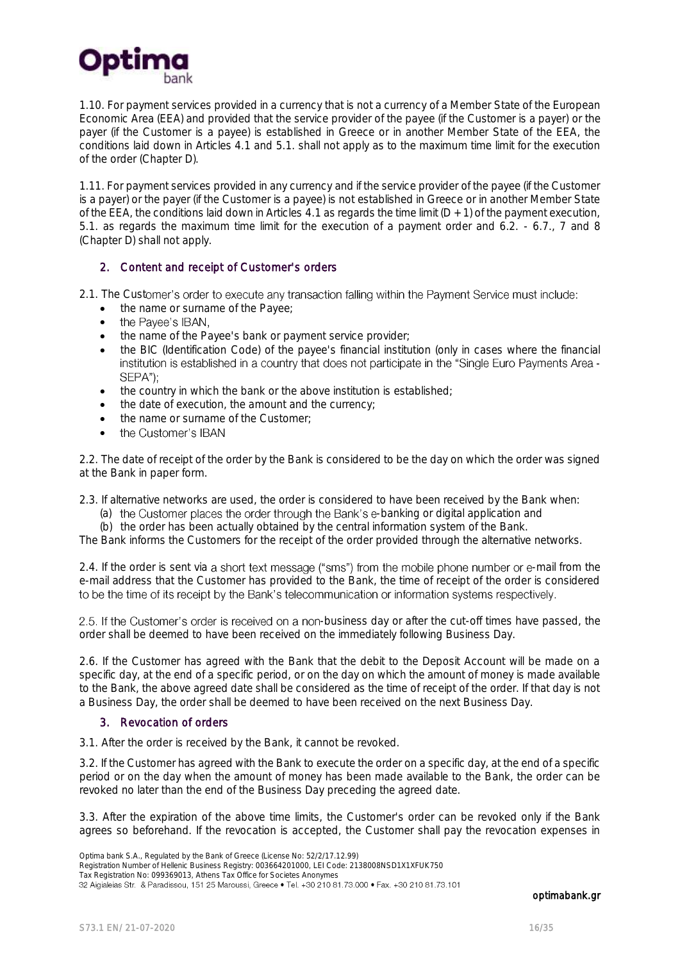

1.10. For payment services provided in a currency that is not a currency of a Member State of the European Economic Area (EEA) and provided that the service provider of the payee (if the Customer is a payer) or the payer (if the Customer is a payee) is established in Greece or in another Member State of the EEA, the conditions laid down in Articles 4.1 and 5.1. shall not apply as to the maximum time limit for the execution of the order (Chapter D).

1.11. For payment services provided in any currency and if the service provider of the payee (if the Customer is a payer) or the payer (if the Customer is a payee) is not established in Greece or in another Member State of the EEA, the conditions laid down in Articles 4.1 as regards the time limit  $(D + 1)$  of the payment execution, 5.1. as regards the maximum time limit for the execution of a payment order and 6.2. - 6.7., 7 and 8 (Chapter D) shall not apply.

#### 2. Content and receipt of Customer's orders

2.1. The Customer's order to execute any transaction falling within the Payment Service must include:

- the name or surname of the Payee;<br>• the Payee's IBAN,
- $\bullet$
- the name of the Payee's bank or payment service provider;
- the BIC (Identification Code) of the payee's financial institution (only in cases where the financial institution is established in a country that does not participate in the "Single Euro Payments Area -SEPA"):
- the country in which the bank or the above institution is established;
- the date of execution, the amount and the currency:
- the name or surname of the Customer;
- $\bullet$ the Customer's IBAN

2.2. The date of receipt of the order by the Bank is considered to be the day on which the order was signed at the Bank in paper form.

2.3. If alternative networks are used, the order is considered to have been received by the Bank when:

- (a) the Customer places the order through the Bank's e-banking or digital application and
- (b) the order has been actually obtained by the central information system of the Bank.

The Bank informs the Customers for the receipt of the order provided through the alternative networks.

2.4. If the order is sent via a short text message ("sms") from the mobile phone number or e-mail from the e-mail address that the Customer has provided to the Bank, the time of receipt of the order is considered to be the time of its receipt by the Bank's telecommunication or information systems respectively.

2.5. If the Customer's order is received on a non-business day or after the cut-off times have passed, the order shall be deemed to have been received on the immediately following Business Day.

2.6. If the Customer has agreed with the Bank that the debit to the Deposit Account will be made on a specific day, at the end of a specific period, or on the day on which the amount of money is made available to the Bank, the above agreed date shall be considered as the time of receipt of the order. If that day is not a Business Day, the order shall be deemed to have been received on the next Business Day.

#### 3. Revocation of orders

3.1. After the order is received by the Bank, it cannot be revoked.

3.2. If the Customer has agreed with the Bank to execute the order on a specific day, at the end of a specific period or on the day when the amount of money has been made available to the Bank, the order can be revoked no later than the end of the Business Day preceding the agreed date.

3.3. After the expiration of the above time limits, the Customer's order can be revoked only if the Bank agrees so beforehand. If the revocation is accepted, the Customer shall pay the revocation expenses in

Optima bank S.A., Regulated by the Bank of Greece (License No: 52/2/17.12.99)

Registration Number of Hellenic Business Registry: 003664201000, LEI Code: 2138008NSD1X1XFUK750

Tax Registration No: 099369013, Athens Tax Office for Societes Anonymes<br>32 Aigialeias Str. & Paradissou, 151 25 Maroussi, Greece • Tel. +30 210 81.73.000 • Fax. +30 210 81.73.101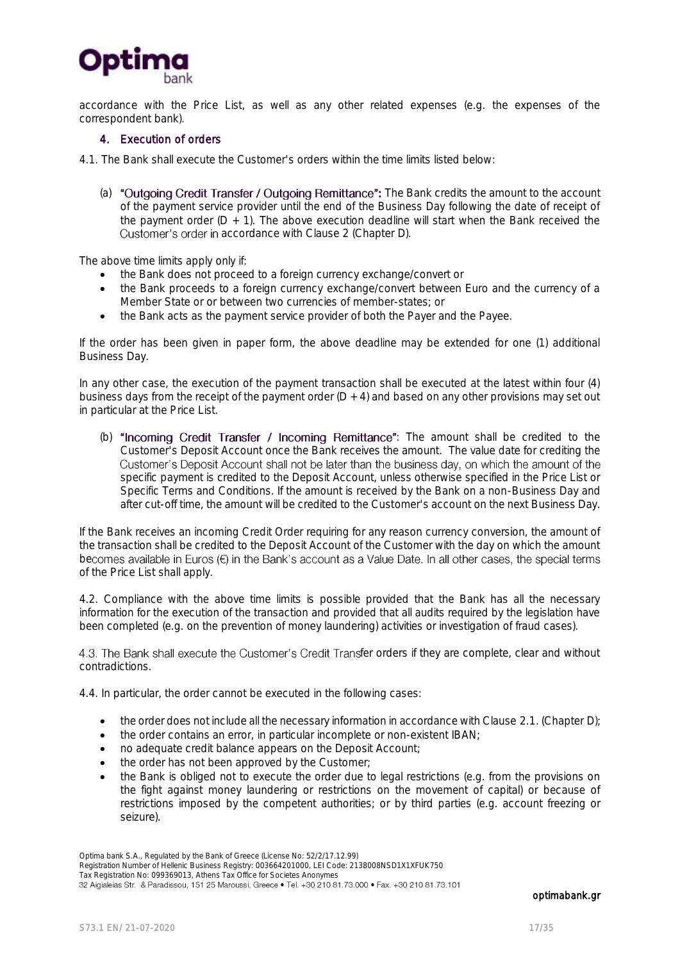

accordance with the Price List, as well as any other related expenses (e.g. the expenses of the correspondent bank).

#### 4. Execution of orders

4.1. The Bank shall execute the Customer's orders within the time limits listed below:

(a) "Outgoing Credit Transfer / Outgoing Remittance": The Bank credits the amount to the account of the payment service provider until the end of the Business Day following the date of receipt of the payment order  $(D + 1)$ . The above execution deadline will start when the Bank received the Customer's order in accordance with Clause 2 (Chapter D).

The above time limits apply only if:

- the Bank does not proceed to a foreign currency exchange/convert or
- the Bank proceeds to a foreign currency exchange/convert between Euro and the currency of a Member State or or between two currencies of member-states; or
- the Bank acts as the payment service provider of both the Payer and the Payee.

If the order has been given in paper form, the above deadline may be extended for one (1) additional Business Day.

In any other case, the execution of the payment transaction shall be executed at the latest within four (4) business days from the receipt of the payment order  $(D + 4)$  and based on any other provisions may set out in particular at the Price List.

(b) "Incoming Credit Transfer / Incoming Remittance": The amount shall be credited to the Customer's Deposit Account once the Bank receives the amount. The value date for crediting the Customer's Deposit Account shall not be later than the business day, on which the amount of the specific payment is credited to the Deposit Account, unless otherwise specified in the Price List or Specific Terms and Conditions. If the amount is received by the Bank on a non-Business Day and after cut-off time, the amount will be credited to the Customer's account on the next Business Day.

If the Bank receives an incoming Credit Order requiring for any reason currency conversion, the amount of the transaction shall be credited to the Deposit Account of the Customer with the day on which the amount becomes available in Euros (E) in the Bank's account as a Value Date. In all other cases, the special terms of the Price List shall apply.

4.2. Compliance with the above time limits is possible provided that the Bank has all the necessary information for the execution of the transaction and provided that all audits required by the legislation have been completed (e.g. on the prevention of money laundering) activities or investigation of fraud cases).

4.3. The Bank shall execute the Customer's Credit Transfer orders if they are complete, clear and without contradictions.

4.4. In particular, the order cannot be executed in the following cases:

- the order does not include all the necessary information in accordance with Clause 2.1. (Chapter D);
- the order contains an error, in particular incomplete or non-existent IBAN;
- no adequate credit balance appears on the Deposit Account;
- the order has not been approved by the Customer;
- the Bank is obliged not to execute the order due to legal restrictions (e.g. from the provisions on the fight against money laundering or restrictions on the movement of capital) or because of restrictions imposed by the competent authorities; or by third parties (e.g. account freezing or seizure).

Registration Number of Hellenic Business Registry: 003664201000, LEI Code: 2138008NSD1X1XFUK750

Tax Registration No: 099369013, Athens Tax Office for Societes Anonymes<br>32 Aigialeias Str. & Paradissou, 151 25 Maroussi, Greece • Tel. +30 210 81.73.000 • Fax. +30 210 81.73.101

Optima bank S.A., Regulated by the Bank of Greece (License No: 52/2/17.12.99)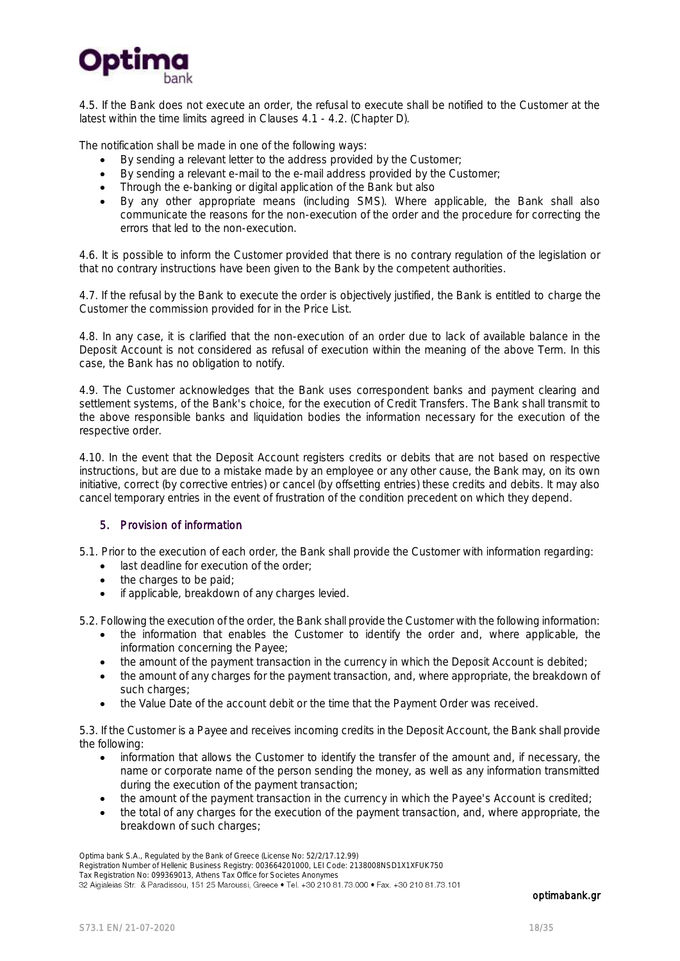

4.5. If the Bank does not execute an order, the refusal to execute shall be notified to the Customer at the latest within the time limits agreed in Clauses 4.1 - 4.2. (Chapter D).

The notification shall be made in one of the following ways:

- By sending a relevant letter to the address provided by the Customer;
- By sending a relevant e-mail to the e-mail address provided by the Customer;
- Through the e-banking or digital application of the Bank but also
- By any other appropriate means (including SMS). Where applicable, the Bank shall also communicate the reasons for the non-execution of the order and the procedure for correcting the errors that led to the non-execution.

4.6. It is possible to inform the Customer provided that there is no contrary regulation of the legislation or that no contrary instructions have been given to the Bank by the competent authorities.

4.7. If the refusal by the Bank to execute the order is objectively justified, the Bank is entitled to charge the Customer the commission provided for in the Price List.

4.8. In any case, it is clarified that the non-execution of an order due to lack of available balance in the Deposit Account is not considered as refusal of execution within the meaning of the above Term. In this case, the Bank has no obligation to notify.

4.9. The Customer acknowledges that the Bank uses correspondent banks and payment clearing and settlement systems, of the Bank's choice, for the execution of Credit Transfers. The Bank shall transmit to the above responsible banks and liquidation bodies the information necessary for the execution of the respective order.

4.10. In the event that the Deposit Account registers credits or debits that are not based on respective instructions, but are due to a mistake made by an employee or any other cause, the Bank may, on its own initiative, correct (by corrective entries) or cancel (by offsetting entries) these credits and debits. It may also cancel temporary entries in the event of frustration of the condition precedent on which they depend.

#### 5. Provision of information

5.1. Prior to the execution of each order, the Bank shall provide the Customer with information regarding:

- **.** last deadline for execution of the order;
- the charges to be paid;
- if applicable, breakdown of any charges levied.

5.2. Following the execution of the order, the Bank shall provide the Customer with the following information:

- the information that enables the Customer to identify the order and, where applicable, the information concerning the Payee;
- the amount of the payment transaction in the currency in which the Deposit Account is debited;
- the amount of any charges for the payment transaction, and, where appropriate, the breakdown of such charges;
- the Value Date of the account debit or the time that the Payment Order was received.

5.3. If the Customer is a Payee and receives incoming credits in the Deposit Account, the Bank shall provide the following:

- information that allows the Customer to identify the transfer of the amount and, if necessary, the name or corporate name of the person sending the money, as well as any information transmitted during the execution of the payment transaction;
- the amount of the payment transaction in the currency in which the Payee's Account is credited;
- the total of any charges for the execution of the payment transaction, and, where appropriate, the breakdown of such charges;

Optima bank S.A., Regulated by the Bank of Greece (License No: 52/2/17.12.99)

Registration Number of Hellenic Business Registry: 003664201000, LEI Code: 2138008NSD1X1XFUK750

Tax Registration No: 099369013, Athens Tax Office for Societes Anonymes<br>32 Aigialeias Str. & Paradissou, 151 25 Maroussi, Greece • Tel. +30 210 81.73.000 • Fax. +30 210 81.73.101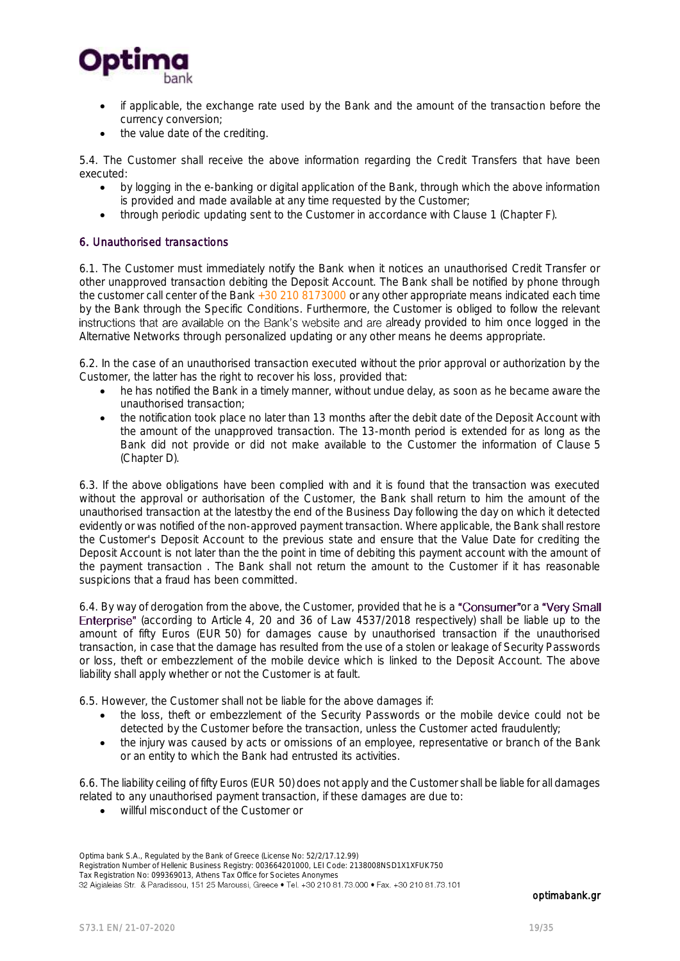

- if applicable, the exchange rate used by the Bank and the amount of the transaction before the currency conversion;
- the value date of the crediting.

5.4. The Customer shall receive the above information regarding the Credit Transfers that have been executed:

- by logging in the e-banking or digital application of the Bank, through which the above information is provided and made available at any time requested by the Customer;
- through periodic updating sent to the Customer in accordance with Clause 1 (Chapter F).

#### 6. Unauthorised transactions

6.1. The Customer must immediately notify the Bank when it notices an unauthorised Credit Transfer or other unapproved transaction debiting the Deposit Account. The Bank shall be notified by phone through the customer call center of the Bank  $+30$  210 8173000 or any other appropriate means indicated each time by the Bank through the Specific Conditions. Furthermore, the Customer is obliged to follow the relevant instructions that are available on the Bank's website and are already provided to him once logged in the Alternative Networks through personalized updating or any other means he deems appropriate.

6.2. In the case of an unauthorised transaction executed without the prior approval or authorization by the Customer, the latter has the right to recover his loss, provided that:

- he has notified the Bank in a timely manner, without undue delay, as soon as he became aware the unauthorised transaction;
- the notification took place no later than 13 months after the debit date of the Deposit Account with the amount of the unapproved transaction. The 13-month period is extended for as long as the Bank did not provide or did not make available to the Customer the information of Clause 5 (Chapter D).

6.3. If the above obligations have been complied with and it is found that the transaction was executed without the approval or authorisation of the Customer, the Bank shall return to him the amount of the unauthorised transaction at the latestby the end of the Business Day following the day on which it detected evidently or was notified of the non-approved payment transaction. Where applicable, the Bank shall restore the Customer's Deposit Account to the previous state and ensure that the Value Date for crediting the Deposit Account is not later than the the point in time of debiting this payment account with the amount of the payment transaction . The Bank shall not return the amount to the Customer if it has reasonable suspicions that a fraud has been committed.

6.4. By way of derogation from the above, the Customer, provided that he is a "Consumer" or a "Very Small Enterprise" (according to Article 4, 20 and 36 of Law 4537/2018 respectively) shall be liable up to the amount of fifty Euros (EUR 50) for damages cause by unauthorised transaction if the unauthorised transaction, in case that the damage has resulted from the use of a stolen or leakage of Security Passwords or loss, theft or embezzlement of the mobile device which is linked to the Deposit Account. The above liability shall apply whether or not the Customer is at fault.

6.5. However, the Customer shall not be liable for the above damages if:

- the loss, theft or embezzlement of the Security Passwords or the mobile device could not be detected by the Customer before the transaction, unless the Customer acted fraudulently;
- the injury was caused by acts or omissions of an employee, representative or branch of the Bank or an entity to which the Bank had entrusted its activities.

6.6. The liability ceiling of fifty Euros (EUR 50) does not apply and the Customer shall be liable for all damages related to any unauthorised payment transaction, if these damages are due to:

willful misconduct of the Customer or

Optima bank S.A., Regulated by the Bank of Greece (License No: 52/2/17.12.99) Registration Number of Hellenic Business Registry: 003664201000, LEI Code: 2138008NSD1X1XFUK750 Tax Registration No: 099369013, Athens Tax Office for Societes Anonymes<br>32 Aigialeias Str. & Paradissou, 151 25 Maroussi, Greece • Tel. +30 210 81.73.000 • Fax. +30 210 81.73.101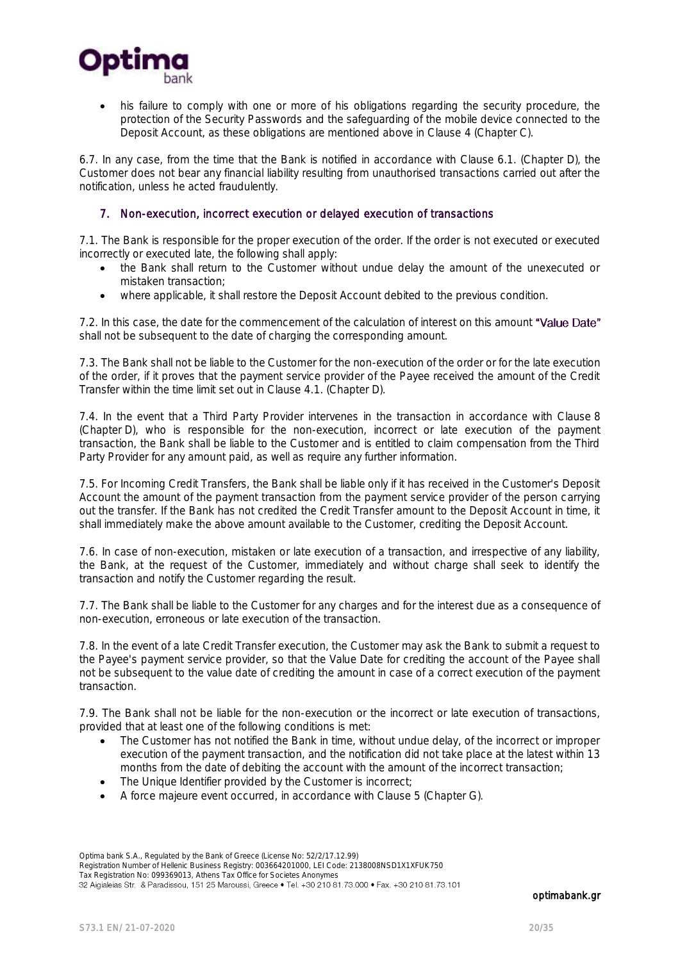

 his failure to comply with one or more of his obligations regarding the security procedure, the protection of the Security Passwords and the safeguarding of the mobile device connected to the Deposit Account, as these obligations are mentioned above in Clause 4 (Chapter C).

6.7. In any case, from the time that the Bank is notified in accordance with Clause 6.1. (Chapter D), the Customer does not bear any financial liability resulting from unauthorised transactions carried out after the notification, unless he acted fraudulently.

#### 7. Non-execution, incorrect execution or delayed execution of transactions

7.1. The Bank is responsible for the proper execution of the order. If the order is not executed or executed incorrectly or executed late, the following shall apply:

- the Bank shall return to the Customer without undue delay the amount of the unexecuted or mistaken transaction;
- where applicable, it shall restore the Deposit Account debited to the previous condition.

7.2. In this case, the date for the commencement of the calculation of interest on this amount "Value Date" shall not be subsequent to the date of charging the corresponding amount.

7.3. The Bank shall not be liable to the Customer for the non-execution of the order or for the late execution of the order, if it proves that the payment service provider of the Payee received the amount of the Credit Transfer within the time limit set out in Clause 4.1. (Chapter D).

7.4. In the event that a Third Party Provider intervenes in the transaction in accordance with Clause 8 (Chapter D), who is responsible for the non-execution, incorrect or late execution of the payment transaction, the Bank shall be liable to the Customer and is entitled to claim compensation from the Third Party Provider for any amount paid, as well as require any further information.

7.5. For Incoming Credit Transfers, the Bank shall be liable only if it has received in the Customer's Deposit Account the amount of the payment transaction from the payment service provider of the person carrying out the transfer. If the Bank has not credited the Credit Transfer amount to the Deposit Account in time, it shall immediately make the above amount available to the Customer, crediting the Deposit Account.

7.6. In case of non-execution, mistaken or late execution of a transaction, and irrespective of any liability, the Bank, at the request of the Customer, immediately and without charge shall seek to identify the transaction and notify the Customer regarding the result.

7.7. The Bank shall be liable to the Customer for any charges and for the interest due as a consequence of non-execution, erroneous or late execution of the transaction.

7.8. In the event of a late Credit Transfer execution, the Customer may ask the Bank to submit a request to the Payee's payment service provider, so that the Value Date for crediting the account of the Payee shall not be subsequent to the value date of crediting the amount in case of a correct execution of the payment transaction.

7.9. The Bank shall not be liable for the non-execution or the incorrect or late execution of transactions, provided that at least one of the following conditions is met:

- The Customer has not notified the Bank in time, without undue delay, of the incorrect or improper execution of the payment transaction, and the notification did not take place at the latest within 13 months from the date of debiting the account with the amount of the incorrect transaction;
- The Unique Identifier provided by the Customer is incorrect;
- A force majeure event occurred, in accordance with Clause 5 (Chapter G).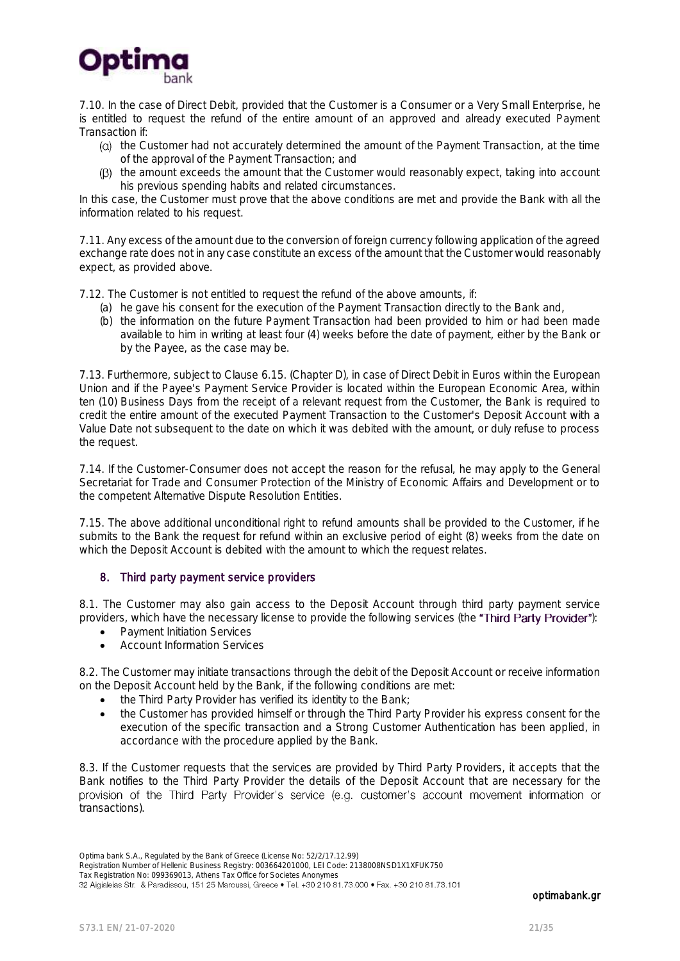

7.10. In the case of Direct Debit, provided that the Customer is a Consumer or a Very Small Enterprise, he is entitled to request the refund of the entire amount of an approved and already executed Payment Transaction if:

- (a) the Customer had not accurately determined the amount of the Payment Transaction, at the time of the approval of the Payment Transaction; and
- $(β)$  the amount exceeds the amount that the Customer would reasonably expect, taking into account his previous spending habits and related circumstances.

In this case, the Customer must prove that the above conditions are met and provide the Bank with all the information related to his request.

7.11. Any excess of the amount due to the conversion of foreign currency following application of the agreed exchange rate does not in any case constitute an excess of the amount that the Customer would reasonably expect, as provided above.

7.12. The Customer is not entitled to request the refund of the above amounts, if:

- (a) he gave his consent for the execution of the Payment Transaction directly to the Bank and,
- (b) the information on the future Payment Transaction had been provided to him or had been made available to him in writing at least four (4) weeks before the date of payment, either by the Bank or by the Payee, as the case may be.

7.13. Furthermore, subject to Clause 6.15. (Chapter D), in case of Direct Debit in Euros within the European Union and if the Payee's Payment Service Provider is located within the European Economic Area, within ten (10) Business Days from the receipt of a relevant request from the Customer, the Bank is required to credit the entire amount of the executed Payment Transaction to the Customer's Deposit Account with a Value Date not subsequent to the date on which it was debited with the amount, or duly refuse to process the request.

7.14. If the Customer-Consumer does not accept the reason for the refusal, he may apply to the General Secretariat for Trade and Consumer Protection of the Ministry of Economic Affairs and Development or to the competent Alternative Dispute Resolution Entities.

7.15. The above additional unconditional right to refund amounts shall be provided to the Customer, if he submits to the Bank the request for refund within an exclusive period of eight (8) weeks from the date on which the Deposit Account is debited with the amount to which the request relates.

#### 8. Third party payment service providers

8.1. The Customer may also gain access to the Deposit Account through third party payment service providers, which have the necessary license to provide the following services (the "Third Party Provider"):

- Payment Initiation Services
- Account Information Services

8.2. The Customer may initiate transactions through the debit of the Deposit Account or receive information on the Deposit Account held by the Bank, if the following conditions are met:

- the Third Party Provider has verified its identity to the Bank;
- the Customer has provided himself or through the Third Party Provider his express consent for the execution of the specific transaction and a Strong Customer Authentication has been applied, in accordance with the procedure applied by the Bank.

8.3. If the Customer requests that the services are provided by Third Party Providers, it accepts that the Bank notifies to the Third Party Provider the details of the Deposit Account that are necessary for the provision of the Third Party Provider's service (e.g. customer's account movement information or transactions).

Optima bank S.A., Regulated by the Bank of Greece (License No: 52/2/17.12.99)

Registration Number of Hellenic Business Registry: 003664201000, LEI Code: 2138008NSD1X1XFUK750

Tax Registration No: 099369013, Athens Tax Office for Societes Anonymes<br>32 Aigialeias Str. & Paradissou, 151 25 Maroussi, Greece • Tel. +30 210 81.73.000 • Fax. +30 210 81.73.101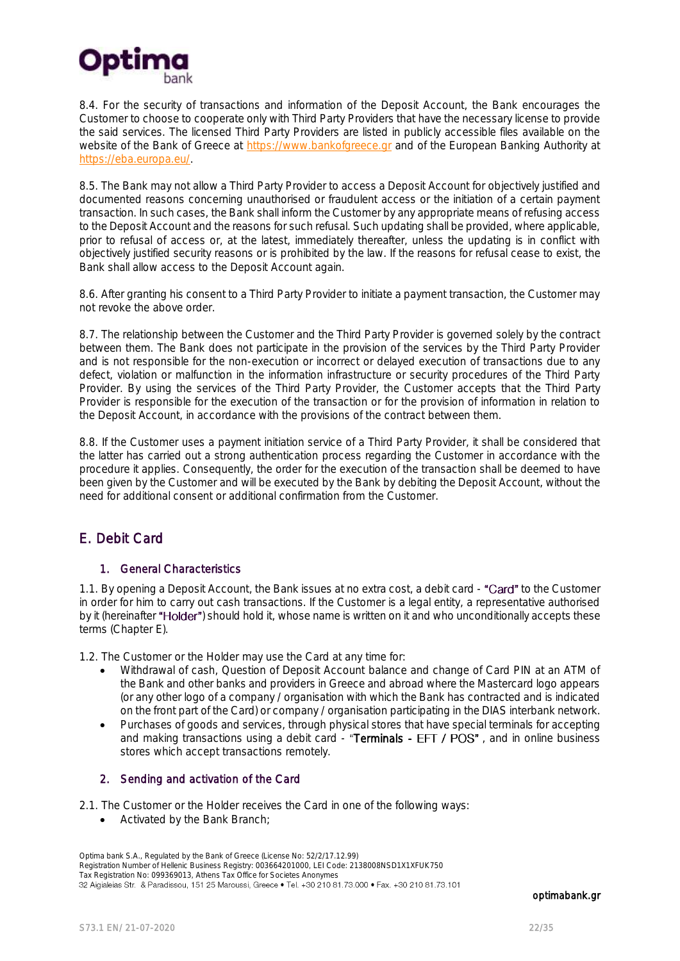

8.4. For the security of transactions and information of the Deposit Account, the Bank encourages the Customer to choose to cooperate only with Third Party Providers that have the necessary license to provide the said services. The licensed Third Party Providers are listed in publicly accessible files available on the website of the Bank of Greece at [https://www.bankofgreece.gr](https://www.bankofgreece.gr/) and of the European Banking Authority at [https://eba.europa.eu/.](https://eba.europa.eu/)

8.5. The Bank may not allow a Third Party Provider to access a Deposit Account for objectively justified and documented reasons concerning unauthorised or fraudulent access or the initiation of a certain payment transaction. In such cases, the Bank shall inform the Customer by any appropriate means of refusing access to the Deposit Account and the reasons for such refusal. Such updating shall be provided, where applicable, prior to refusal of access or, at the latest, immediately thereafter, unless the updating is in conflict with objectively justified security reasons or is prohibited by the law. If the reasons for refusal cease to exist, the Bank shall allow access to the Deposit Account again.

8.6. After granting his consent to a Third Party Provider to initiate a payment transaction, the Customer may not revoke the above order.

8.7. The relationship between the Customer and the Third Party Provider is governed solely by the contract between them. The Bank does not participate in the provision of the services by the Third Party Provider and is not responsible for the non-execution or incorrect or delayed execution of transactions due to any defect, violation or malfunction in the information infrastructure or security procedures of the Third Party Provider. By using the services of the Third Party Provider, the Customer accepts that the Third Party Provider is responsible for the execution of the transaction or for the provision of information in relation to the Deposit Account, in accordance with the provisions of the contract between them.

8.8. If the Customer uses a payment initiation service of a Third Party Provider, it shall be considered that the latter has carried out a strong authentication process regarding the Customer in accordance with the procedure it applies. Consequently, the order for the execution of the transaction shall be deemed to have been given by the Customer and will be executed by the Bank by debiting the Deposit Account, without the need for additional consent or additional confirmation from the Customer.

# <span id="page-21-0"></span>E. Debit Card

### 1. General Characteristics

1.1. By opening a Deposit Account, the Bank issues at no extra cost, a debit card - "Card" to the Customer in order for him to carry out cash transactions. If the Customer is a legal entity, a representative authorised by it (hereinafter "Holder") should hold it, whose name is written on it and who unconditionally accepts these terms (Chapter E).

1.2. The Customer or the Holder may use the Card at any time for:

- Withdrawal of cash, Question of Deposit Account balance and change of Card PIN at an ATM of the Bank and other banks and providers in Greece and abroad where the Mastercard logo appears (or any other logo of a company / organisation with which the Bank has contracted and is indicated on the front part of the Card) or company / organisation participating in the DIAS interbank network.
- Purchases of goods and services, through physical stores that have special terminals for accepting and making transactions using a debit card - "Terminals -  $EFT / POS"$ , and in online business stores which accept transactions remotely.

### 2. Sending and activation of the Card

2.1. The Customer or the Holder receives the Card in one of the following ways:

Activated by the Bank Branch;

Optima bank S.A., Regulated by the Bank of Greece (License No: 52/2/17.12.99) Registration Number of Hellenic Business Registry: 003664201000, LEI Code: 2138008NSD1X1XFUK750 Tax Registration No: 099369013, Athens Tax Office for Societes Anonymes<br>32 Aigialeias Str. & Paradissou, 151 25 Maroussi, Greece • Tel. +30 210 81.73.000 • Fax. +30 210 81.73.101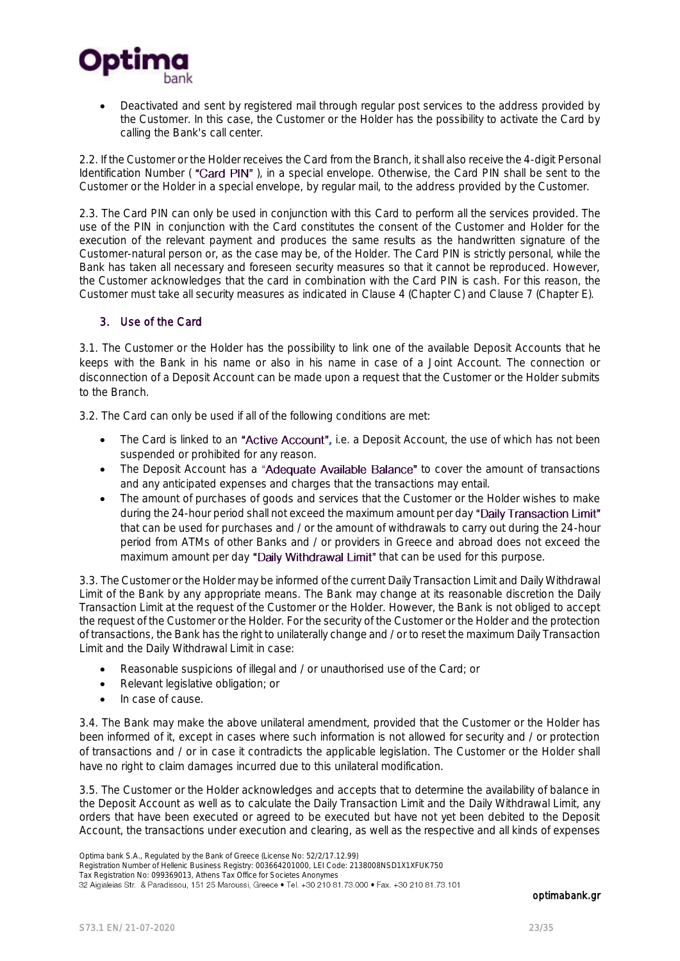

 Deactivated and sent by registered mail through regular post services to the address provided by the Customer. In this case, the Customer or the Holder has the possibility to activate the Card by calling the Bank's call center.

2.2. If the Customer or the Holder receives the Card from the Branch, it shall also receive the 4-digit Personal Identification Number ("Card PIN"), in a special envelope. Otherwise, the Card PIN shall be sent to the Customer or the Holder in a special envelope, by regular mail, to the address provided by the Customer.

2.3. The Card PIN can only be used in conjunction with this Card to perform all the services provided. The use of the PIN in conjunction with the Card constitutes the consent of the Customer and Holder for the execution of the relevant payment and produces the same results as the handwritten signature of the Customer-natural person or, as the case may be, of the Holder. The Card PIN is strictly personal, while the Bank has taken all necessary and foreseen security measures so that it cannot be reproduced. However, the Customer acknowledges that the card in combination with the Card PIN is cash. For this reason, the Customer must take all security measures as indicated in Clause 4 (Chapter C) and Clause 7 (Chapter E).

#### 3. Use of the Card

3.1. The Customer or the Holder has the possibility to link one of the available Deposit Accounts that he keeps with the Bank in his name or also in his name in case of a Joint Account. The connection or disconnection of a Deposit Account can be made upon a request that the Customer or the Holder submits to the Branch.

3.2. The Card can only be used if all of the following conditions are met:

- The Card is linked to an "Active Account", i.e. a Deposit Account, the use of which has not been suspended or prohibited for any reason.
- The Deposit Account has a "Adequate Available Balance" to cover the amount of transactions and any anticipated expenses and charges that the transactions may entail.
- The amount of purchases of goods and services that the Customer or the Holder wishes to make during the 24-hour period shall not exceed the maximum amount per day "Daily Transaction Limit" that can be used for purchases and / or the amount of withdrawals to carry out during the 24-hour period from ATMs of other Banks and / or providers in Greece and abroad does not exceed the maximum amount per day "Daily Withdrawal Limit" that can be used for this purpose.

3.3. The Customer or the Holder may be informed of the current Daily Transaction Limit and Daily Withdrawal Limit of the Bank by any appropriate means. The Bank may change at its reasonable discretion the Daily Transaction Limit at the request of the Customer or the Holder. However, the Bank is not obliged to accept the request of the Customer or the Holder. For the security of the Customer or the Holder and the protection of transactions, the Bank has the right to unilaterally change and / or to reset the maximum Daily Transaction Limit and the Daily Withdrawal Limit in case:

- Reasonable suspicions of illegal and / or unauthorised use of the Card; or
- Relevant legislative obligation; or
- In case of cause.

3.4. The Bank may make the above unilateral amendment, provided that the Customer or the Holder has been informed of it, except in cases where such information is not allowed for security and / or protection of transactions and / or in case it contradicts the applicable legislation. The Customer or the Holder shall have no right to claim damages incurred due to this unilateral modification.

3.5. The Customer or the Holder acknowledges and accepts that to determine the availability of balance in the Deposit Account as well as to calculate the Daily Transaction Limit and the Daily Withdrawal Limit, any orders that have been executed or agreed to be executed but have not yet been debited to the Deposit Account, the transactions under execution and clearing, as well as the respective and all kinds of expenses

Registration Number of Hellenic Business Registry: 003664201000, LEI Code: 2138008NSD1X1XFUK750

Tax Registration No: 099369013, Athens Tax Office for Societes Anonymes<br>32 Aigialeias Str. & Paradissou, 151 25 Maroussi, Greece • Tel. +30 210 81.73.000 • Fax. +30 210 81.73.101

Optima bank S.A., Regulated by the Bank of Greece (License No: 52/2/17.12.99)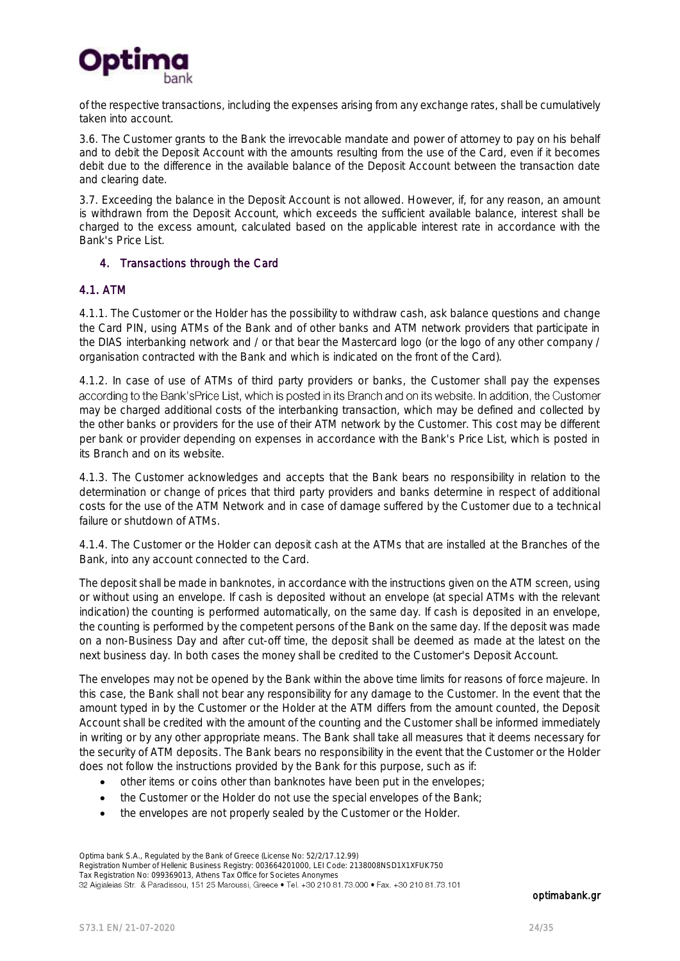

of the respective transactions, including the expenses arising from any exchange rates, shall be cumulatively taken into account.

3.6. The Customer grants to the Bank the irrevocable mandate and power of attorney to pay on his behalf and to debit the Deposit Account with the amounts resulting from the use of the Card, even if it becomes debit due to the difference in the available balance of the Deposit Account between the transaction date and clearing date.

3.7. Exceeding the balance in the Deposit Account is not allowed. However, if, for any reason, an amount is withdrawn from the Deposit Account, which exceeds the sufficient available balance, interest shall be charged to the excess amount, calculated based on the applicable interest rate in accordance with the Bank's Price List.

#### 4. Transactions through the Card

#### 4.1. ATM

4.1.1. The Customer or the Holder has the possibility to withdraw cash, ask balance questions and change the Card PIN, using ATMs of the Bank and of other banks and ATM network providers that participate in the DIAS interbanking network and / or that bear the Mastercard logo (or the logo of any other company / organisation contracted with the Bank and which is indicated on the front of the Card).

4.1.2. In case of use of ATMs of third party providers or banks, the Customer shall pay the expenses according to the Bank'sPrice List, which is posted in its Branch and on its website. In addition, the Customer may be charged additional costs of the interbanking transaction, which may be defined and collected by the other banks or providers for the use of their ATM network by the Customer. This cost may be different per bank or provider depending on expenses in accordance with the Bank's Price List, which is posted in its Branch and on its website.

4.1.3. The Customer acknowledges and accepts that the Bank bears no responsibility in relation to the determination or change of prices that third party providers and banks determine in respect of additional costs for the use of the ATM Network and in case of damage suffered by the Customer due to a technical failure or shutdown of ATMs.

4.1.4. The Customer or the Holder can deposit cash at the ATMs that are installed at the Branches of the Bank, into any account connected to the Card.

The deposit shall be made in banknotes, in accordance with the instructions given on the ATM screen, using or without using an envelope. If cash is deposited without an envelope (at special ATMs with the relevant indication) the counting is performed automatically, on the same day. If cash is deposited in an envelope, the counting is performed by the competent persons of the Bank on the same day. If the deposit was made on a non-Business Day and after cut-off time, the deposit shall be deemed as made at the latest on the next business day. In both cases the money shall be credited to the Customer's Deposit Account.

The envelopes may not be opened by the Bank within the above time limits for reasons of force majeure. In this case, the Bank shall not bear any responsibility for any damage to the Customer. In the event that the amount typed in by the Customer or the Holder at the ATM differs from the amount counted, the Deposit Account shall be credited with the amount of the counting and the Customer shall be informed immediately in writing or by any other appropriate means. The Bank shall take all measures that it deems necessary for the security of ATM deposits. The Bank bears no responsibility in the event that the Customer or the Holder does not follow the instructions provided by the Bank for this purpose, such as if:

- other items or coins other than banknotes have been put in the envelopes;
- the Customer or the Holder do not use the special envelopes of the Bank;
- the envelopes are not properly sealed by the Customer or the Holder.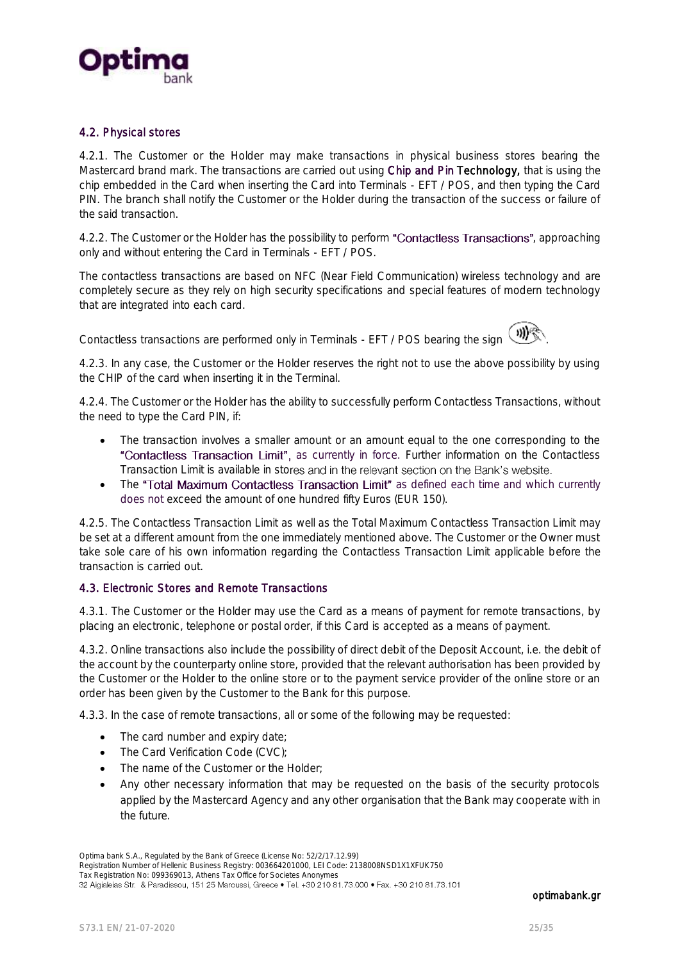

#### 4.2. Physical stores

4.2.1. The Customer or the Holder may make transactions in physical business stores bearing the Mastercard brand mark. The transactions are carried out using Chip and Pin Technology, that is using the chip embedded in the Card when inserting the Card into Terminals - EFT / POS, and then typing the Card PIN. The branch shall notify the Customer or the Holder during the transaction of the success or failure of the said transaction.

4.2.2. The Customer or the Holder has the possibility to perform "Contactless Transactions", approaching only and without entering the Card in Terminals - EFT / POS.

The contactless transactions are based on NFC (Near Field Communication) wireless technology and are completely secure as they rely on high security specifications and special features of modern technology that are integrated into each card.

Contactless transactions are performed only in Terminals - EFT / POS bearing the sign  $($ 



4.2.3. In any case, the Customer or the Holder reserves the right not to use the above possibility by using the CHIP of the card when inserting it in the Terminal.

4.2.4. The Customer or the Holder has the ability to successfully perform Contactless Transactions, without the need to type the Card PIN, if:

- The transaction involves a smaller amount or an amount equal to the one corresponding to the "Contactless Transaction Limit", as currently in force. Further information on the Contactless Transaction Limit is available in stores and in the relevant section on the Bank's website.
- The "Total Maximum Contactless Transaction Limit" as defined each time and which currently does not exceed the amount of one hundred fifty Euros (EUR 150).

4.2.5. The Contactless Transaction Limit as well as the Total Maximum Contactless Transaction Limit may be set at a different amount from the one immediately mentioned above. The Customer or the Owner must take sole care of his own information regarding the Contactless Transaction Limit applicable before the transaction is carried out.

#### 4.3. Electronic Stores and Remote Transactions

4.3.1. The Customer or the Holder may use the Card as a means of payment for remote transactions, by placing an electronic, telephone or postal order, if this Card is accepted as a means of payment.

4.3.2. Online transactions also include the possibility of direct debit of the Deposit Account, i.e. the debit of the account by the counterparty online store, provided that the relevant authorisation has been provided by the Customer or the Holder to the online store or to the payment service provider of the online store or an order has been given by the Customer to the Bank for this purpose.

4.3.3. In the case of remote transactions, all or some of the following may be requested:

- The card number and expiry date;
- The Card Verification Code (CVC);
- The name of the Customer or the Holder;
- Any other necessary information that may be requested on the basis of the security protocols applied by the Mastercard Agency and any other organisation that the Bank may cooperate with in the future.

Optima bank S.A., Regulated by the Bank of Greece (License No: 52/2/17.12.99)

Registration Number of Hellenic Business Registry: 003664201000, LEI Code: 2138008NSD1X1XFUK750 Tax Registration No: 099369013, Athens Tax Office for Societes Anonymes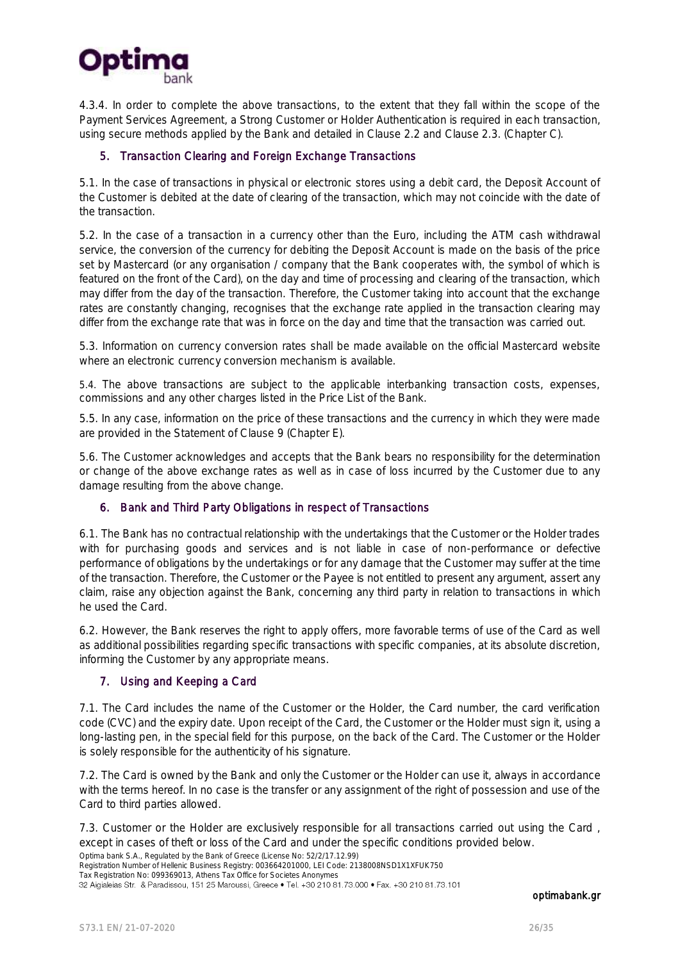

4.3.4. In order to complete the above transactions, to the extent that they fall within the scope of the Payment Services Agreement, a Strong Customer or Holder Authentication is required in each transaction, using secure methods applied by the Bank and detailed in Clause 2.2 and Clause 2.3. (Chapter C).

#### 5. Transaction Clearing and Foreign Exchange Transactions

5.1. In the case of transactions in physical or electronic stores using a debit card, the Deposit Account of the Customer is debited at the date of clearing of the transaction, which may not coincide with the date of the transaction.

5.2. In the case of a transaction in a currency other than the Euro, including the ATM cash withdrawal service, the conversion of the currency for debiting the Deposit Account is made on the basis of the price set by Mastercard (or any organisation / company that the Bank cooperates with, the symbol of which is featured on the front of the Card), on the day and time of processing and clearing of the transaction, which may differ from the day of the transaction. Therefore, the Customer taking into account that the exchange rates are constantly changing, recognises that the exchange rate applied in the transaction clearing may differ from the exchange rate that was in force on the day and time that the transaction was carried out.

5.3. Information on currency conversion rates shall be made available on the official Mastercard website where an electronic currency conversion mechanism is available.

5.4. The above transactions are subject to the applicable interbanking transaction costs, expenses, commissions and any other charges listed in the Price List of the Bank.

5.5. In any case, information on the price of these transactions and the currency in which they were made are provided in the Statement of Clause 9 (Chapter E).

5.6. The Customer acknowledges and accepts that the Bank bears no responsibility for the determination or change of the above exchange rates as well as in case of loss incurred by the Customer due to any damage resulting from the above change.

#### 6. Bank and Third Party Obligations in respect of Transactions

6.1. The Bank has no contractual relationship with the undertakings that the Customer or the Holder trades with for purchasing goods and services and is not liable in case of non-performance or defective performance of obligations by the undertakings or for any damage that the Customer may suffer at the time of the transaction. Therefore, the Customer or the Payee is not entitled to present any argument, assert any claim, raise any objection against the Bank, concerning any third party in relation to transactions in which he used the Card.

6.2. However, the Bank reserves the right to apply offers, more favorable terms of use of the Card as well as additional possibilities regarding specific transactions with specific companies, at its absolute discretion, informing the Customer by any appropriate means.

#### 7. Using and Keeping a Card

7.1. The Card includes the name of the Customer or the Holder, the Card number, the card verification code (CVC) and the expiry date. Upon receipt of the Card, the Customer or the Holder must sign it, using a long-lasting pen, in the special field for this purpose, on the back of the Card. The Customer or the Holder is solely responsible for the authenticity of his signature.

7.2. The Card is owned by the Bank and only the Customer or the Holder can use it, always in accordance with the terms hereof. In no case is the transfer or any assignment of the right of possession and use of the Card to third parties allowed.

7.3. Customer or the Holder are exclusively responsible for all transactions carried out using the Card , except in cases of theft or loss of the Card and under the specific conditions provided below.

Optima bank S.A., Regulated by the Bank of Greece (License No: 52/2/17.12.99) Registration Number of Hellenic Business Registry: 003664201000, LEI Code: 2138008NSD1X1XFUK750

Tax Registration No: 099369013, Athens Tax Office for Societes Anonymes<br>32 Aigialeias Str. & Paradissou, 151 25 Maroussi, Greece • Tel. +30 210 81.73.000 • Fax. +30 210 81.73.101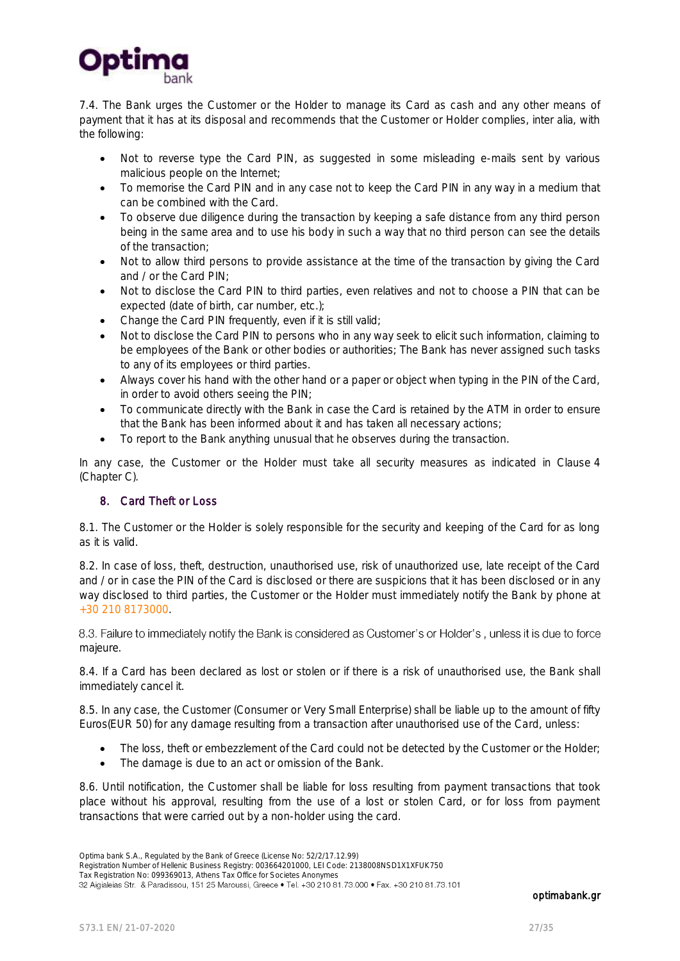

7.4. The Bank urges the Customer or the Holder to manage its Card as cash and any other means of payment that it has at its disposal and recommends that the Customer or Holder complies, inter alia, with the following:

- Not to reverse type the Card PIN, as suggested in some misleading e-mails sent by various malicious people on the Internet;
- To memorise the Card PIN and in any case not to keep the Card PIN in any way in a medium that can be combined with the Card.
- To observe due diligence during the transaction by keeping a safe distance from any third person being in the same area and to use his body in such a way that no third person can see the details of the transaction;
- Not to allow third persons to provide assistance at the time of the transaction by giving the Card and / or the Card PIN;
- Not to disclose the Card PIN to third parties, even relatives and not to choose a PIN that can be expected (date of birth, car number, etc.);
- Change the Card PIN frequently, even if it is still valid:
- Not to disclose the Card PIN to persons who in any way seek to elicit such information, claiming to be employees of the Bank or other bodies or authorities; The Bank has never assigned such tasks to any of its employees or third parties.
- Always cover his hand with the other hand or a paper or object when typing in the PIN of the Card, in order to avoid others seeing the PIN;
- To communicate directly with the Bank in case the Card is retained by the ATM in order to ensure that the Bank has been informed about it and has taken all necessary actions;
- To report to the Bank anything unusual that he observes during the transaction.

In any case, the Customer or the Holder must take all security measures as indicated in Clause 4 (Chapter C).

### 8. Card Theft or Loss

8.1. The Customer or the Holder is solely responsible for the security and keeping of the Card for as long as it is valid.

8.2. In case of loss, theft, destruction, unauthorised use, risk of unauthorized use, late receipt of the Card and / or in case the PIN of the Card is disclosed or there are suspicions that it has been disclosed or in any way disclosed to third parties, the Customer or the Holder must immediately notify the Bank by phone at +30 210 8173000.

8.3. Failure to immediately notify the Bank is considered as Customer's or Holder's, unless it is due to force majeure.

8.4. If a Card has been declared as lost or stolen or if there is a risk of unauthorised use, the Bank shall immediately cancel it.

8.5. In any case, the Customer (Consumer or Very Small Enterprise) shall be liable up to the amount of fifty Euros(EUR 50) for any damage resulting from a transaction after unauthorised use of the Card, unless:

- The loss, theft or embezzlement of the Card could not be detected by the Customer or the Holder;
- The damage is due to an act or omission of the Bank.

8.6. Until notification, the Customer shall be liable for loss resulting from payment transactions that took place without his approval, resulting from the use of a lost or stolen Card, or for loss from payment transactions that were carried out by a non-holder using the card.

Optima bank S.A., Regulated by the Bank of Greece (License No: 52/2/17.12.99)

Registration Number of Hellenic Business Registry: 003664201000, LEI Code: 2138008NSD1X1XFUK750

Tax Registration No: 099369013, Athens Tax Office for Societes Anonymes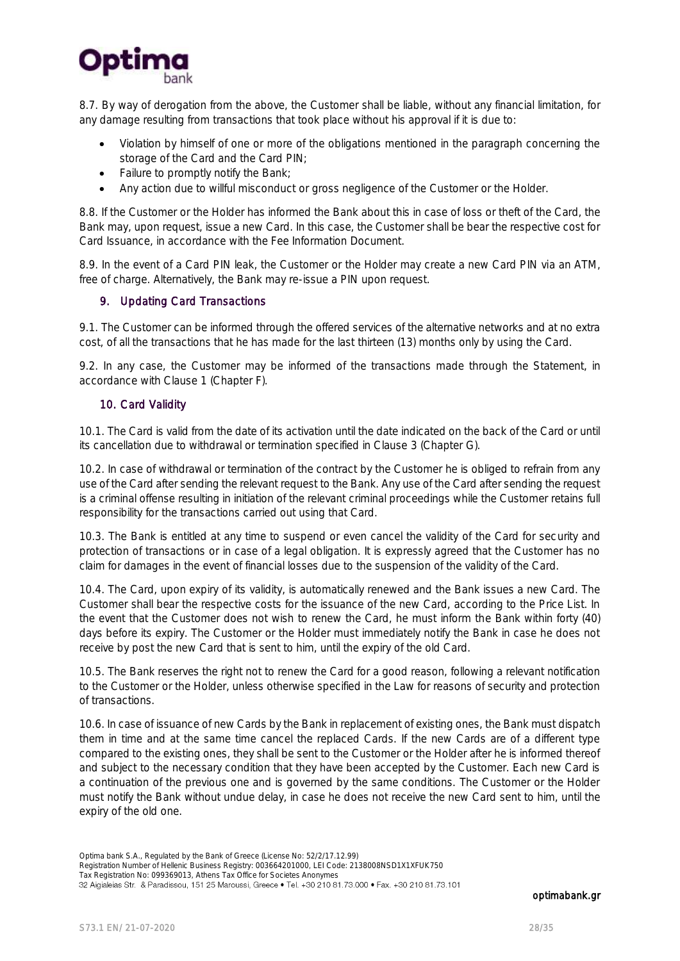

8.7. By way of derogation from the above, the Customer shall be liable, without any financial limitation, for any damage resulting from transactions that took place without his approval if it is due to:

- Violation by himself of one or more of the obligations mentioned in the paragraph concerning the storage of the Card and the Card PIN;
- Failure to promptly notify the Bank;
- Any action due to willful misconduct or gross negligence of the Customer or the Holder.

8.8. If the Customer or the Holder has informed the Bank about this in case of loss or theft of the Card, the Bank may, upon request, issue a new Card. In this case, the Customer shall be bear the respective cost for Card Issuance, in accordance with the Fee Information Document.

8.9. In the event of a Card PIN leak, the Customer or the Holder may create a new Card PIN via an ATM, free of charge. Alternatively, the Bank may re-issue a PIN upon request.

#### 9. Updating Card Transactions

9.1. The Customer can be informed through the offered services of the alternative networks and at no extra cost, of all the transactions that he has made for the last thirteen (13) months only by using the Card.

9.2. In any case, the Customer may be informed of the transactions made through the Statement, in accordance with Clause 1 (Chapter F).

### 10. Card Validity

10.1. The Card is valid from the date of its activation until the date indicated on the back of the Card or until its cancellation due to withdrawal or termination specified in Clause 3 (Chapter G).

10.2. In case of withdrawal or termination of the contract by the Customer he is obliged to refrain from any use of the Card after sending the relevant request to the Bank. Any use of the Card after sending the request is a criminal offense resulting in initiation of the relevant criminal proceedings while the Customer retains full responsibility for the transactions carried out using that Card.

10.3. The Bank is entitled at any time to suspend or even cancel the validity of the Card for security and protection of transactions or in case of a legal obligation. It is expressly agreed that the Customer has no claim for damages in the event of financial losses due to the suspension of the validity of the Card.

10.4. The Card, upon expiry of its validity, is automatically renewed and the Bank issues a new Card. The Customer shall bear the respective costs for the issuance of the new Card, according to the Price List. In the event that the Customer does not wish to renew the Card, he must inform the Bank within forty (40) days before its expiry. The Customer or the Holder must immediately notify the Bank in case he does not receive by post the new Card that is sent to him, until the expiry of the old Card.

10.5. The Bank reserves the right not to renew the Card for a good reason, following a relevant notification to the Customer or the Holder, unless otherwise specified in the Law for reasons of security and protection of transactions.

10.6. In case of issuance of new Cards by the Bank in replacement of existing ones, the Bank must dispatch them in time and at the same time cancel the replaced Cards. If the new Cards are of a different type compared to the existing ones, they shall be sent to the Customer or the Holder after he is informed thereof and subject to the necessary condition that they have been accepted by the Customer. Each new Card is a continuation of the previous one and is governed by the same conditions. The Customer or the Holder must notify the Bank without undue delay, in case he does not receive the new Card sent to him, until the expiry of the old one.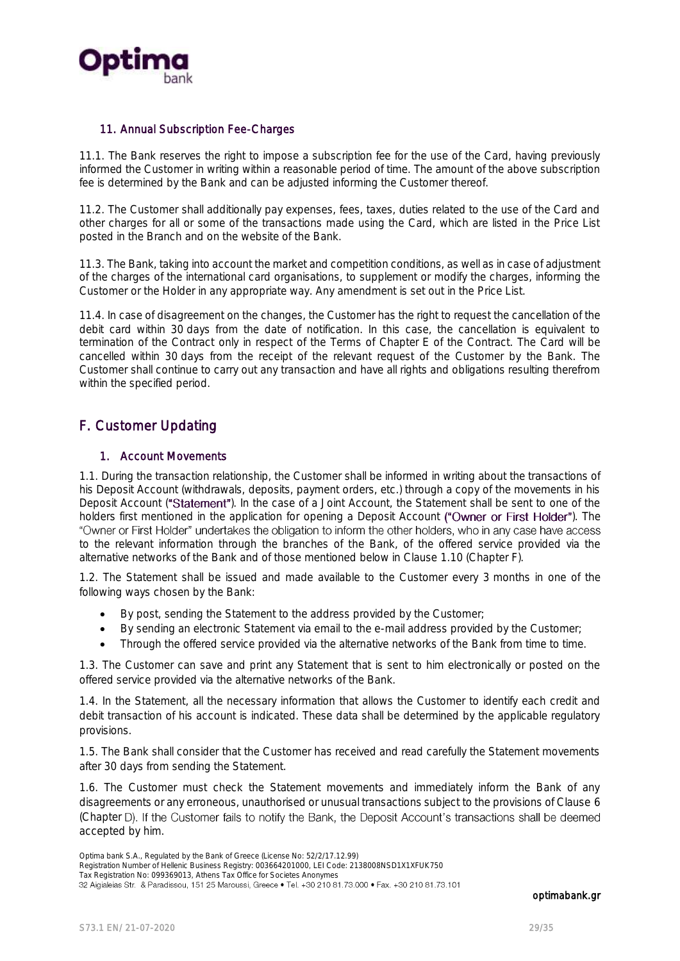

#### 11. Annual Subscription Fee-Charges

11.1. The Bank reserves the right to impose a subscription fee for the use of the Card, having previously informed the Customer in writing within a reasonable period of time. The amount of the above subscription fee is determined by the Bank and can be adjusted informing the Customer thereof.

11.2. The Customer shall additionally pay expenses, fees, taxes, duties related to the use of the Card and other charges for all or some of the transactions made using the Card, which are listed in the Price List posted in the Branch and on the website of the Bank.

11.3. The Bank, taking into account the market and competition conditions, as well as in case of adjustment of the charges of the international card organisations, to supplement or modify the charges, informing the Customer or the Holder in any appropriate way. Any amendment is set out in the Price List.

11.4. In case of disagreement on the changes, the Customer has the right to request the cancellation of the debit card within 30 days from the date of notification. In this case, the cancellation is equivalent to termination of the Contract only in respect of the Terms of Chapter E of the Contract. The Card will be cancelled within 30 days from the receipt of the relevant request of the Customer by the Bank. The Customer shall continue to carry out any transaction and have all rights and obligations resulting therefrom within the specified period.

# <span id="page-28-0"></span>F. Customer Updating

#### 1. Account Movements

1.1. During the transaction relationship, the Customer shall be informed in writing about the transactions of his Deposit Account (withdrawals, deposits, payment orders, etc.) through a copy of the movements in his Deposit Account ("Statement"). In the case of a Joint Account, the Statement shall be sent to one of the holders first mentioned in the application for opening a Deposit Account ("Owner or First Holder"). The "Owner or First Holder" undertakes the obligation to inform the other holders, who in any case have access to the relevant information through the branches of the Bank, of the offered service provided via the alternative networks of the Bank and of those mentioned below in Clause 1.10 (Chapter F).

1.2. The Statement shall be issued and made available to the Customer every 3 months in one of the following ways chosen by the Bank:

- By post, sending the Statement to the address provided by the Customer;
- By sending an electronic Statement via email to the e-mail address provided by the Customer;
- Through the offered service provided via the alternative networks of the Bank from time to time.

1.3. The Customer can save and print any Statement that is sent to him electronically or posted on the offered service provided via the alternative networks of the Bank.

1.4. In the Statement, all the necessary information that allows the Customer to identify each credit and debit transaction of his account is indicated. These data shall be determined by the applicable regulatory provisions.

1.5. The Bank shall consider that the Customer has received and read carefully the Statement movements after 30 days from sending the Statement.

1.6. The Customer must check the Statement movements and immediately inform the Bank of any disagreements or any erroneous, unauthorised or unusual transactions subject to the provisions of Clause 6 (Chapter D). If the Customer fails to notify the Bank, the Deposit Account's transactions shall be deemed accepted by him.

Optima bank S.A., Regulated by the Bank of Greece (License No: 52/2/17.12.99)

Registration Number of Hellenic Business Registry: 003664201000, LEI Code: 2138008NSD1X1XFUK750

Tax Registration No: 099369013, Athens Tax Office for Societes Anonymes<br>32 Aigialeias Str. & Paradissou, 151 25 Maroussi, Greece • Tel. +30 210 81.73.000 • Fax. +30 210 81.73.101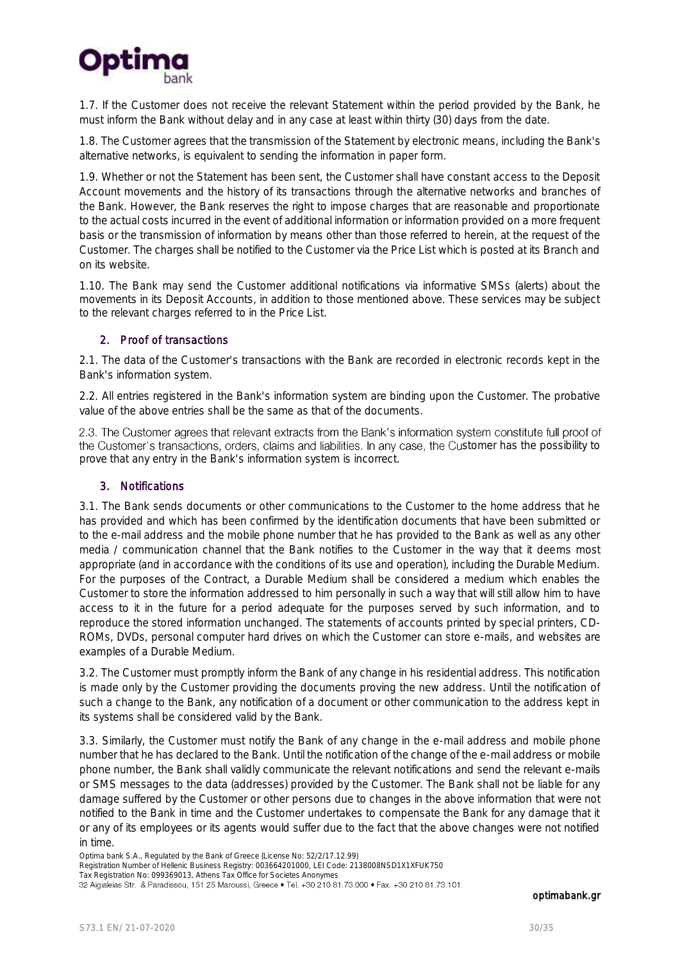

1.7. If the Customer does not receive the relevant Statement within the period provided by the Bank, he must inform the Bank without delay and in any case at least within thirty (30) days from the date.

1.8. The Customer agrees that the transmission of the Statement by electronic means, including the Bank's alternative networks, is equivalent to sending the information in paper form.

1.9. Whether or not the Statement has been sent, the Customer shall have constant access to the Deposit Account movements and the history of its transactions through the alternative networks and branches of the Bank. However, the Bank reserves the right to impose charges that are reasonable and proportionate to the actual costs incurred in the event of additional information or information provided on a more frequent basis or the transmission of information by means other than those referred to herein, at the request of the Customer. The charges shall be notified to the Customer via the Price List which is posted at its Branch and on its website.

1.10. The Bank may send the Customer additional notifications via informative SMSs (alerts) about the movements in its Deposit Accounts, in addition to those mentioned above. These services may be subject to the relevant charges referred to in the Price List.

#### 2. Proof of transactions

2.1. The data of the Customer's transactions with the Bank are recorded in electronic records kept in the Bank's information system.

2.2. All entries registered in the Bank's information system are binding upon the Customer. The probative value of the above entries shall be the same as that of the documents.

2.3. The Customer agrees that relevant extracts from the Bank's information system constitute full proof of the Customer's transactions, orders, claims and liabilities. In any case, the Customer has the possibility to prove that any entry in the Bank's information system is incorrect.

#### 3. Notifications

3.1. The Bank sends documents or other communications to the Customer to the home address that he has provided and which has been confirmed by the identification documents that have been submitted or to the e-mail address and the mobile phone number that he has provided to the Bank as well as any other media / communication channel that the Bank notifies to the Customer in the way that it deems most appropriate (and in accordance with the conditions of its use and operation), including the Durable Medium. For the purposes of the Contract, a Durable Medium shall be considered a medium which enables the Customer to store the information addressed to him personally in such a way that will still allow him to have access to it in the future for a period adequate for the purposes served by such information, and to reproduce the stored information unchanged. The statements of accounts printed by special printers, CD-ROMs, DVDs, personal computer hard drives on which the Customer can store e-mails, and websites are examples of a Durable Medium.

3.2. The Customer must promptly inform the Bank of any change in his residential address. This notification is made only by the Customer providing the documents proving the new address. Until the notification of such a change to the Bank, any notification of a document or other communication to the address kept in its systems shall be considered valid by the Bank.

3.3. Similarly, the Customer must notify the Bank of any change in the e-mail address and mobile phone number that he has declared to the Bank. Until the notification of the change of the e-mail address or mobile phone number, the Bank shall validly communicate the relevant notifications and send the relevant e-mails or SMS messages to the data (addresses) provided by the Customer. The Bank shall not be liable for any damage suffered by the Customer or other persons due to changes in the above information that were not notified to the Bank in time and the Customer undertakes to compensate the Bank for any damage that it or any of its employees or its agents would suffer due to the fact that the above changes were not notified in time.

Optima bank S.A., Regulated by the Bank of Greece (License No: 52/2/17.12.99)

Registration Number of Hellenic Business Registry: 003664201000, LEI Code: 2138008NSD1X1XFUK750

Tax Registration No: 099369013, Athens Tax Office for Societes Anonymes<br>32 Aigialeias Str. & Paradissou, 151 25 Maroussi, Greece • Tel. +30 210 81.73.000 • Fax. +30 210 81.73.101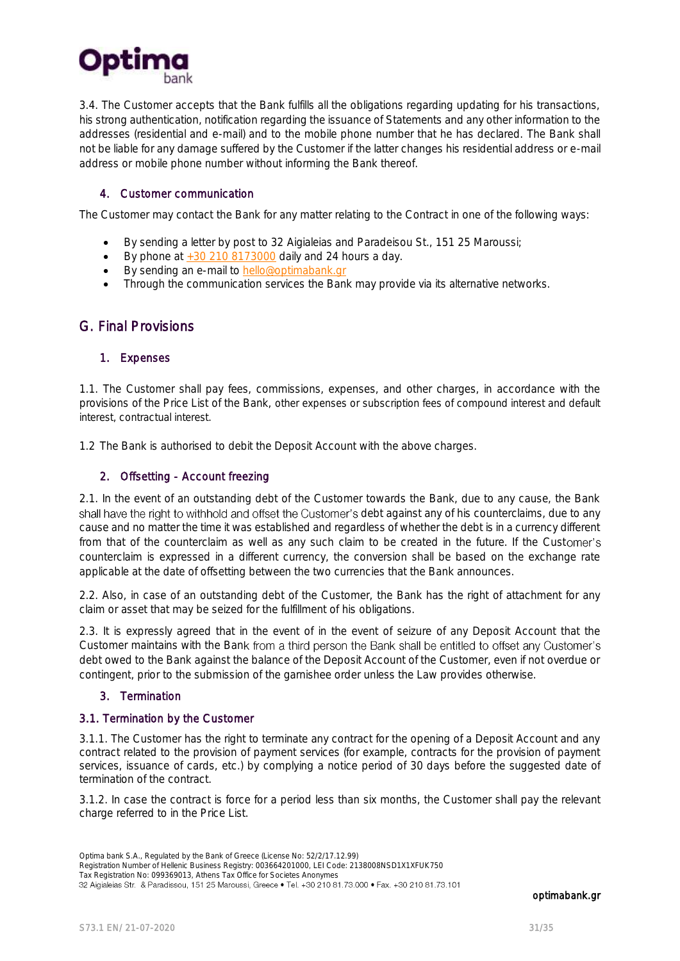

3.4. The Customer accepts that the Bank fulfills all the obligations regarding updating for his transactions, his strong authentication, notification regarding the issuance of Statements and any other information to the addresses (residential and e-mail) and to the mobile phone number that he has declared. The Bank shall not be liable for any damage suffered by the Customer if the latter changes his residential address or e-mail address or mobile phone number without informing the Bank thereof.

#### 4. Customer communication

The Customer may contact the Bank for any matter relating to the Contract in one of the following ways:

- By sending a letter by post to 32 Aigialeias and Paradeisou St., 151 25 Maroussi;
- By phone at  $+30$  210 8173000 daily and 24 hours a day.
- By sending an e-mail to hello@optimabank.gr
- Through the communication services the Bank may provide via its alternative networks.

# <span id="page-30-0"></span>G. Final Provisions

#### 1. Expenses

1.1. The Customer shall pay fees, commissions, expenses, and other charges, in accordance with the provisions of the Price List of the Bank, other expenses or subscription fees of compound interest and default interest, contractual interest.

1.2 The Bank is authorised to debit the Deposit Account with the above charges.

#### 2. Offsetting - Account freezing

2.1. In the event of an outstanding debt of the Customer towards the Bank, due to any cause, the Bank shall have the right to withhold and offset the Customer's debt against any of his counterclaims, due to any cause and no matter the time it was established and regardless of whether the debt is in a currency different from that of the counterclaim as well as any such claim to be created in the future. If the Customer's counterclaim is expressed in a different currency, the conversion shall be based on the exchange rate applicable at the date of offsetting between the two currencies that the Bank announces.

2.2. Also, in case of an outstanding debt of the Customer, the Bank has the right of attachment for any claim or asset that may be seized for the fulfillment of his obligations.

2.3. It is expressly agreed that in the event of in the event of seizure of any Deposit Account that the Customer maintains with the Bank from a third person the Bank shall be entitled to offset any Customer's debt owed to the Bank against the balance of the Deposit Account of the Customer, even if not overdue or contingent, prior to the submission of the garnishee order unless the Law provides otherwise.

### 3. Termination

### 3.1. Termination by the Customer

3.1.1. The Customer has the right to terminate any contract for the opening of a Deposit Account and any contract related to the provision of payment services (for example, contracts for the provision of payment services, issuance of cards, etc.) by complying a notice period of 30 days before the suggested date of termination of the contract.

3.1.2. In case the contract is force for a period less than six months, the Customer shall pay the relevant charge referred to in the Price List.

Registration Number of Hellenic Business Registry: 003664201000, LEI Code: 2138008NSD1X1XFUK750

Tax Registration No: 099369013, Athens Tax Office for Societes Anonymes<br>32 Aigialeias Str. & Paradissou, 151 25 Maroussi, Greece • Tel. +30 210 81.73.000 • Fax. +30 210 81.73.101

Optima bank S.A., Regulated by the Bank of Greece (License No: 52/2/17.12.99)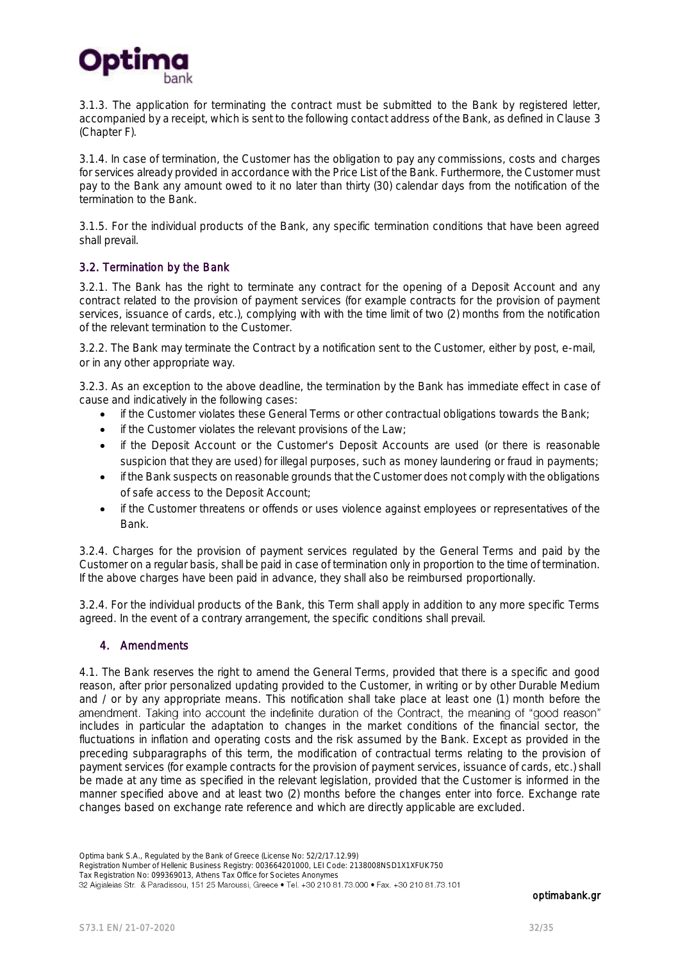

3.1.3. The application for terminating the contract must be submitted to the Bank by registered letter, accompanied by a receipt, which is sent to the following contact address of the Bank, as defined in Clause 3 (Chapter F).

3.1.4. In case of termination, the Customer has the obligation to pay any commissions, costs and charges for services already provided in accordance with the Price List of the Bank. Furthermore, the Customer must pay to the Bank any amount owed to it no later than thirty (30) calendar days from the notification of the termination to the Bank.

3.1.5. For the individual products of the Bank, any specific termination conditions that have been agreed shall prevail.

#### 3.2. Termination by the Bank

3.2.1. The Bank has the right to terminate any contract for the opening of a Deposit Account and any contract related to the provision of payment services (for example contracts for the provision of payment services, issuance of cards, etc.), complying with with the time limit of two (2) months from the notification of the relevant termination to the Customer.

3.2.2. The Bank may terminate the Contract by a notification sent to the Customer, either by post, e-mail, or in any other appropriate way.

3.2.3. As an exception to the above deadline, the termination by the Bank has immediate effect in case of cause and indicatively in the following cases:

- if the Customer violates these General Terms or other contractual obligations towards the Bank;
- if the Customer violates the relevant provisions of the Law;
- if the Deposit Account or the Customer's Deposit Accounts are used (or there is reasonable suspicion that they are used) for illegal purposes, such as money laundering or fraud in payments;
- if the Bank suspects on reasonable grounds that the Customer does not comply with the obligations of safe access to the Deposit Account;
- if the Customer threatens or offends or uses violence against employees or representatives of the Bank.

3.2.4. Charges for the provision of payment services regulated by the General Terms and paid by the Customer on a regular basis, shall be paid in case of termination only in proportion to the time of termination. If the above charges have been paid in advance, they shall also be reimbursed proportionally.

3.2.4. For the individual products of the Bank, this Term shall apply in addition to any more specific Terms agreed. In the event of a contrary arrangement, the specific conditions shall prevail.

#### 4. Amendments

4.1. The Bank reserves the right to amend the General Terms, provided that there is a specific and good reason, after prior personalized updating provided to the Customer, in writing or by other Durable Medium and / or by any appropriate means. This notification shall take place at least one (1) month before the amendment. Taking into account the indefinite duration of the Contract, the meaning of "good reason" includes in particular the adaptation to changes in the market conditions of the financial sector, the fluctuations in inflation and operating costs and the risk assumed by the Bank. Except as provided in the preceding subparagraphs of this term, the modification of contractual terms relating to the provision of payment services (for example contracts for the provision of payment services, issuance of cards, etc.) shall be made at any time as specified in the relevant legislation, provided that the Customer is informed in the manner specified above and at least two (2) months before the changes enter into force. Exchange rate changes based on exchange rate reference and which are directly applicable are excluded.

Registration Number of Hellenic Business Registry: 003664201000, LEI Code: 2138008NSD1X1XFUK750

Tax Registration No: 099369013, Athens Tax Office for Societes Anonymes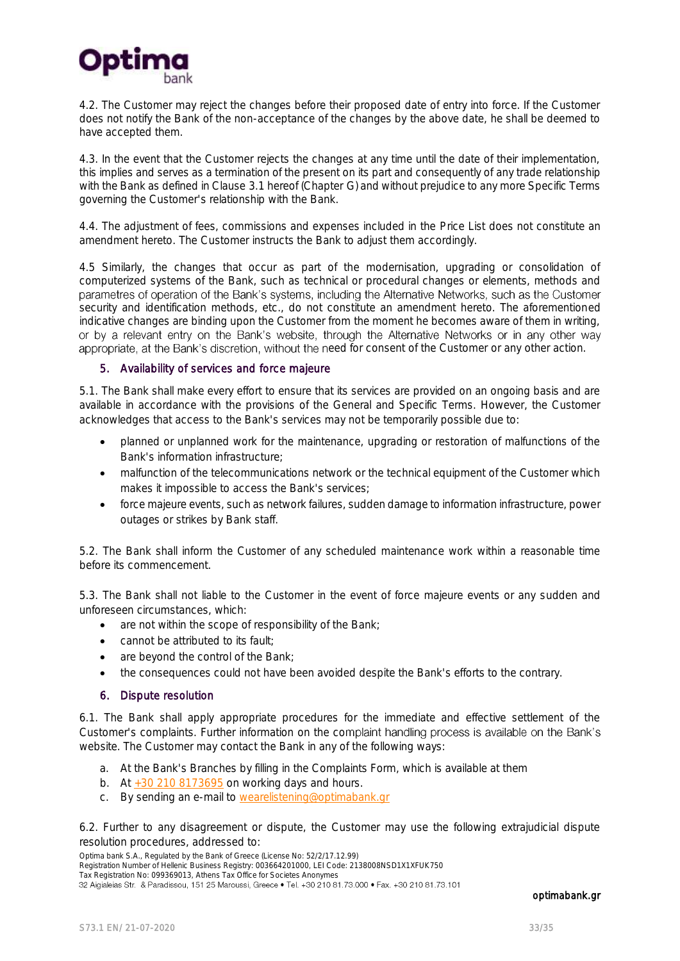

4.2. The Customer may reject the changes before their proposed date of entry into force. If the Customer does not notify the Bank of the non-acceptance of the changes by the above date, he shall be deemed to have accepted them.

4.3. In the event that the Customer rejects the changes at any time until the date of their implementation, this implies and serves as a termination of the present on its part and consequently of any trade relationship with the Bank as defined in Clause 3.1 hereof (Chapter G) and without prejudice to any more Specific Terms governing the Customer's relationship with the Bank.

4.4. The adjustment of fees, commissions and expenses included in the Price List does not constitute an amendment hereto. The Customer instructs the Bank to adjust them accordingly.

4.5 Similarly, the changes that occur as part of the modernisation, upgrading or consolidation of computerized systems of the Bank, such as technical or procedural changes or elements, methods and<br>parametres of operation of the Bank's systems, including the Alternative Networks, such as the Customer security and identification methods, etc., do not constitute an amendment hereto. The aforementioned indicative changes are binding upon the Customer from the moment he becomes aware of them in writing, or by a relevant entry on the Bank's website, through the Alternative Networks or in any other way appropriate, at the Bank's discretion, without the need for consent of the Customer or any other action.

#### 5. Availability of services and force majeure

5.1. The Bank shall make every effort to ensure that its services are provided on an ongoing basis and are available in accordance with the provisions of the General and Specific Terms. However, the Customer acknowledges that access to the Bank's services may not be temporarily possible due to:

- planned or unplanned work for the maintenance, upgrading or restoration of malfunctions of the Bank's information infrastructure;
- malfunction of the telecommunications network or the technical equipment of the Customer which makes it impossible to access the Bank's services;
- force majeure events, such as network failures, sudden damage to information infrastructure, power outages or strikes by Bank staff.

5.2. The Bank shall inform the Customer of any scheduled maintenance work within a reasonable time before its commencement.

5.3. The Bank shall not liable to the Customer in the event of force majeure events or any sudden and unforeseen circumstances, which:

- are not within the scope of responsibility of the Bank;
- cannot be attributed to its fault;
- are beyond the control of the Bank;
- the consequences could not have been avoided despite the Bank's efforts to the contrary.

#### 6. Dispute resolution

6.1. The Bank shall apply appropriate procedures for the immediate and effective settlement of the Customer's complaints. Further information on the complaint handling process is available on the Bank's website. The Customer may contact the Bank in any of the following ways:

- a. At the Bank's Branches by filling in the Complaints Form, which is available at them
- b. At  $+30$  210 8173695 on working days and hours.
- c. By sending an e-mail to [wearelistening@optimabank.gr](mailto:wearelistening@optimabank.gr)

6.2. Further to any disagreement or dispute, the Customer may use the following extrajudicial dispute resolution procedures, addressed to:

Optima bank S.A., Regulated by the Bank of Greece (License No: 52/2/17.12.99)

Registration Number of Hellenic Business Registry: 003664201000, LEI Code: 2138008NSD1X1XFUK750

Tax Registration No: 099369013, Athens Tax Office for Societes Anonymes<br>32 Aigialeias Str. & Paradissou, 151 25 Maroussi, Greece • Tel. +30 210 81.73.000 • Fax. +30 210 81.73.101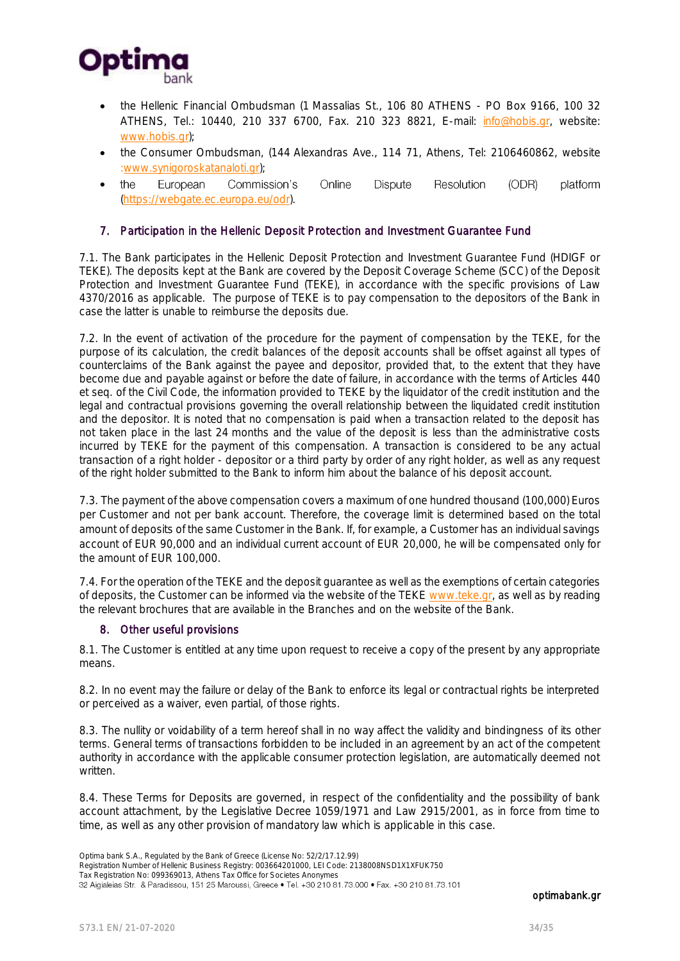

- the Hellenic Financial Ombudsman (1 Massalias St., 106 80 ATHENS PO Box 9166, 100 32 ATHENS, Tel.: 10440, 210 337 6700, Fax. 210 323 8821, E-mail: [info@hobis.gr,](mailto:info@hobis.gr) website: [www.hobis.gr\);](http://www.hobis.gr/)
- the Consumer Ombudsman, (144 Alexandras Ave., 114 71, Athens, Tel: 2106460862, website [:www.synigoroskatanaloti.gr\)](http://www.synigoroskatanaloti.gr/);
- Online Dispute **Resolution** the European Commission's (ODR) platform  $\bullet$ (https://webgate.ec.europa.eu/odr).

#### 7. Participation in the Hellenic Deposit Protection and Investment Guarantee Fund

7.1. The Bank participates in the Hellenic Deposit Protection and Investment Guarantee Fund (HDIGF or TEKE). The deposits kept at the Bank are covered by the Deposit Coverage Scheme (SCC) of the Deposit Protection and Investment Guarantee Fund (TEKE), in accordance with the specific provisions of Law 4370/2016 as applicable. The purpose of TEKE is to pay compensation to the depositors of the Bank in case the latter is unable to reimburse the deposits due.

7.2. In the event of activation of the procedure for the payment of compensation by the TEKE, for the purpose of its calculation, the credit balances of the deposit accounts shall be offset against all types of counterclaims of the Bank against the payee and depositor, provided that, to the extent that they have become due and payable against or before the date of failure, in accordance with the terms of Articles 440 et seq. of the Civil Code, the information provided to TEKE by the liquidator of the credit institution and the legal and contractual provisions governing the overall relationship between the liquidated credit institution and the depositor. It is noted that no compensation is paid when a transaction related to the deposit has not taken place in the last 24 months and the value of the deposit is less than the administrative costs incurred by TEKE for the payment of this compensation. A transaction is considered to be any actual transaction of a right holder - depositor or a third party by order of any right holder, as well as any request of the right holder submitted to the Bank to inform him about the balance of his deposit account.

7.3. The payment of the above compensation covers a maximum of one hundred thousand (100,000) Euros per Customer and not per bank account. Therefore, the coverage limit is determined based on the total amount of deposits of the same Customer in the Bank. If, for example, a Customer has an individual savings account of EUR 90,000 and an individual current account of EUR 20,000, he will be compensated only for the amount of EUR 100,000.

7.4. For the operation of the TEKE and the deposit guarantee as well as the exemptions of certain categories of deposits, the Customer can be informed via the website of the TEKE [www.teke.gr,](http://www.teke.gr/) as well as by reading the relevant brochures that are available in the Branches and on the website of the Bank.

#### 8. Other useful provisions

8.1. The Customer is entitled at any time upon request to receive a copy of the present by any appropriate means.

8.2. In no event may the failure or delay of the Bank to enforce its legal or contractual rights be interpreted or perceived as a waiver, even partial, of those rights.

8.3. The nullity or voidability of a term hereof shall in no way affect the validity and bindingness of its other terms. General terms of transactions forbidden to be included in an agreement by an act of the competent authority in accordance with the applicable consumer protection legislation, are automatically deemed not written.

8.4. These Terms for Deposits are governed, in respect of the confidentiality and the possibility of bank account attachment, by the Legislative Decree 1059/1971 and Law 2915/2001, as in force from time to time, as well as any other provision of mandatory law which is applicable in this case.

Optima bank S.A., Regulated by the Bank of Greece (License No: 52/2/17.12.99)

Registration Number of Hellenic Business Registry: 003664201000, LEI Code: 2138008NSD1X1XFUK750

Tax Registration No: 099369013, Athens Tax Office for Societes Anonymes<br>32 Aigialeias Str. & Paradissou, 151 25 Maroussi, Greece • Tel. +30 210 81.73.000 • Fax. +30 210 81.73.101